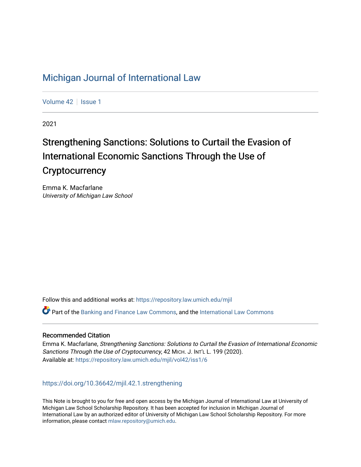# [Michigan Journal of International Law](https://repository.law.umich.edu/mjil)

[Volume 42](https://repository.law.umich.edu/mjil/vol42) | [Issue 1](https://repository.law.umich.edu/mjil/vol42/iss1)

2021

# Strengthening Sanctions: Solutions to Curtail the Evasion of International Economic Sanctions Through the Use of **Cryptocurrency**

Emma K. Macfarlane University of Michigan Law School

Follow this and additional works at: [https://repository.law.umich.edu/mjil](https://repository.law.umich.edu/mjil?utm_source=repository.law.umich.edu%2Fmjil%2Fvol42%2Fiss1%2F6&utm_medium=PDF&utm_campaign=PDFCoverPages) 

Part of the [Banking and Finance Law Commons,](http://network.bepress.com/hgg/discipline/833?utm_source=repository.law.umich.edu%2Fmjil%2Fvol42%2Fiss1%2F6&utm_medium=PDF&utm_campaign=PDFCoverPages) and the [International Law Commons](http://network.bepress.com/hgg/discipline/609?utm_source=repository.law.umich.edu%2Fmjil%2Fvol42%2Fiss1%2F6&utm_medium=PDF&utm_campaign=PDFCoverPages)

# Recommended Citation

Emma K. Macfarlane, Strengthening Sanctions: Solutions to Curtail the Evasion of International Economic Sanctions Through the Use of Cryptocurrency, 42 MICH. J. INT'L L. 199 (2020). Available at: [https://repository.law.umich.edu/mjil/vol42/iss1/6](https://repository.law.umich.edu/mjil/vol42/iss1/6?utm_source=repository.law.umich.edu%2Fmjil%2Fvol42%2Fiss1%2F6&utm_medium=PDF&utm_campaign=PDFCoverPages) 

<https://doi.org/10.36642/mjil.42.1.strengthening>

This Note is brought to you for free and open access by the Michigan Journal of International Law at University of Michigan Law School Scholarship Repository. It has been accepted for inclusion in Michigan Journal of International Law by an authorized editor of University of Michigan Law School Scholarship Repository. For more information, please contact [mlaw.repository@umich.edu](mailto:mlaw.repository@umich.edu).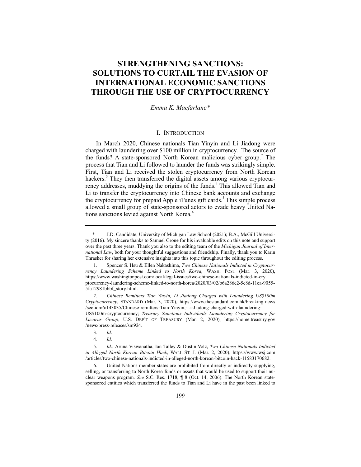# **STRENGTHENING SANCTIONS: SOLUTIONS TO CURTAIL THE EVASION OF INTERNATIONAL ECONOMIC SANCTIONS THROUGH THE USE OF CRYPTOCURRENCY**

*Emma K. Macfarlane\**

# I. INTRODUCTION

In March 2020, Chinese nationals Tian Yinyin and Li Jiadong were charged with laundering over \$100 million in cryptocurrency.<sup>1</sup> The source of the funds? A state-sponsored North Korean malicious cyber group.<sup>2</sup> The process that Tian and Li followed to launder the funds was strikingly simple. First, Tian and Li received the stolen cryptocurrency from North Korean hackers.<sup>3</sup> They then transferred the digital assets among various cryptocurrency addresses, muddying the origins of the funds.<sup>4</sup> This allowed Tian and Li to transfer the cryptocurrency into Chinese bank accounts and exchange the cryptocurrency for prepaid Apple iTunes gift cards.<sup>5</sup> This simple process allowed a small group of state-sponsored actors to evade heavy United Nations sanctions levied against North Korea.<sup>6</sup>

5. *Id*.; Aruna Viswanatha, Ian Talley & Dustin Volz, *Two Chinese Nationals Indicted in Alleged North Korean Bitcoin Hack*, WALL ST. J. (Mar. 2, 2020), https://www.wsj.com /articles/two-chinese-nationals-indicted-in-alleged-north-korean-bitcoin-hack-11583170682.

6. United Nations member states are prohibited from directly or indirectly supplying, selling, or transferring to North Korea funds or assets that would be used to support their nuclear weapons program. *See* S.C. Res. 1718, ¶ 8 (Oct. 14, 2006). The North Korean statesponsored entities which transferred the funds to Tian and Li have in the past been linked to

<sup>\*</sup> J.D. Candidate, University of Michigan Law School (2021); B.A., McGill University (2016). My sincere thanks to Samuel Grone for his invaluable edits on this note and support over the past three years. Thank you also to the editing team of the *Michigan Journal of International Law*, both for your thoughtful suggestions and friendship. Finally, thank you to Karin Thrasher for sharing her extensive insights into this topic throughout the editing process.

<sup>1.</sup> Spencer S. Hsu & Ellen Nakashima, *Two Chinese Nationals Indicted in Cryptocurrency Laundering Scheme Linked to North Korea*, WASH. POST (Mar. 3, 2020), https://www.washingtonpost.com/local/legal-issues/two-chinese-nationals-indicted-in-cry ptocurrency-laundering-scheme-linked-to-north-korea/2020/03/02/b6a286c2-5c8d-11ea-9055- 5fa12981bbbf\_story.html.

<sup>2.</sup> *Chinese Remitters Tian Yinyin, Li Jiadong Charged with Laundering US\$100m Cryptocurrency*, STANDARD (Mar. 3, 2020), https://www.thestandard.com.hk/breaking-news /section/6/143035/Chinese-remitters-Tian-Yinyin,-Li-Jiadong-charged-with-laundering-

US\$100m-cryptocurrency; *Treasury Sanctions Individuals Laundering Cryptocurrency for Lazarus Group*, U.S. DEP'T OF TREASURY (Mar. 2, 2020), https://home.treasury.gov /news/press-releases/sm924.

<sup>3.</sup> *Id*.

<sup>4.</sup> *Id*.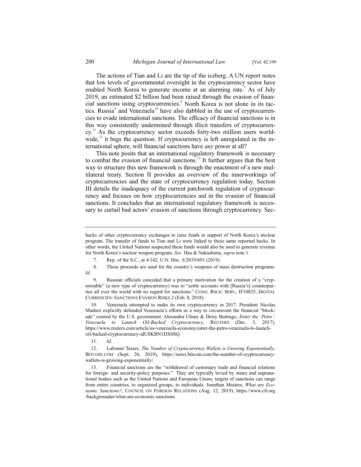The actions of Tian and Li are the tip of the iceberg. A UN report notes that low levels of governmental oversight in the cryptocurrency sector have enabled North Korea to generate income at an alarming rate.<sup>7</sup> As of July 2019, an estimated \$2 billion had been raised through the evasion of financial sanctions using cryptocurrencies.<sup>8</sup> North Korea is not alone in its tactics. Russia $^{\circ}$  and Venezuela<sup>10</sup> have also dabbled in the use of cryptocurrencies to evade international sanctions. The efficacy of financial sanctions is in this way consistently undermined through illicit transfers of cryptocurren $cv<sup>11</sup>$  As the cryptocurrency sector exceeds forty-two million users worldwide, $^{12}$  it begs the question: If cryptocurrency is left unregulated in the international sphere, will financial sanctions have *any* power at all?

This note posits that an international regulatory framework is necessary to combat the evasion of financial sanctions.<sup>13</sup> It further argues that the best way to structure this new framework is through the enactment of a new multilateral treaty. Section II provides an overview of the innerworkings of cryptocurrencies and the state of cryptocurrency regulation today. Section III details the inadequacy of the current patchwork regulation of cryptocurrency and focuses on how cryptocurrencies aid in the evasion of financial sanctions. It concludes that an international regulatory framework is necessary to curtail bad actors' evasion of sanctions through cryptocurrency. Sec-

11. *Id*.

hacks of other cryptocurrency exchanges to raise funds in support of North Korea's nuclear program. The transfer of funds to Tian and Li were linked to these same reported hacks. In other words, the United Nations suspected these funds would also be used to generate revenue for North Korea's nuclear weapon program. *See* Hsu & Nakashima, *supra* note 1.

<sup>7.</sup> Rep. of the S.C., at 4/142, U.N. Doc. S/2019/691 (2019).

<sup>8.</sup> These proceeds are used for the country's weapons of mass destruction programs. *Id*.

<sup>9.</sup> Russian officials conceded that a primary motivation for the creation of a "cryptorouble" (a new type of cryptocurrency) was to "settle accounts with [Russia's] counterparties all over the world with no regard for sanctions." CONG. RSCH. SERV., IF10825, DIGITAL CURRENCIES: SANCTIONS EVASION RISKS 2 (Feb. 8, 2018).

<sup>10.</sup> Venezuela attempted to make its own cryptocurrency in 2017. President Nicolas Maduro explicitly defended Venezuela's efforts as a way to circumvent the financial "blockade" created by the U.S. government. Alexandra Ulmer & Deisy Buitrago, *Enter the 'Petro': Venezuela to Launch Oil-Backed Cryptocurrency*, REUTERS (Dec. 3, 2017), https://www.reuters.com/article/us-venezuela-economy/enter-the-petro-venezuela-to-launchoil-backed-cryptocurrency-idUSKBN1DX0SQ.

<sup>12.</sup> Lubomir Tassev, *The Number of Cryptocurrency Wallets is Growing Exponentially*, BITCOIN.COM (Sept. 26, 2019), https://news.bitcoin.com/the-number-of-cryptocurrencywallets-is-growing-exponentially/.

<sup>13.</sup> Financial sanctions are the "withdrawal of customary trade and financial relations for foreign- and security-policy purposes." They are typically levied by states and supranational bodies such as the United Nations and European Union; targets of sanctions can range from entire countries, to organized groups, to individuals. Jonathan Masters, *What are Economic Sanctions?*, COUNCIL ON FOREIGN RELATIONS (Aug. 12, 2019), https://www.cfr.org /backgrounder/what-are-economic-sanctions.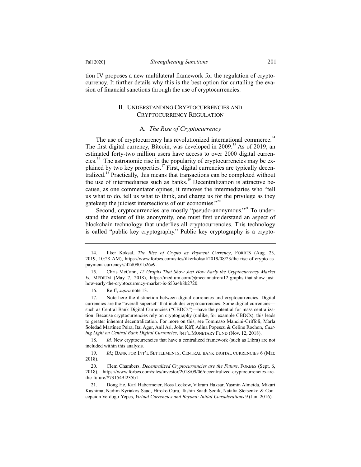tion IV proposes a new multilateral framework for the regulation of cryptocurrency. It further details why this is the best option for curtailing the evasion of financial sanctions through the use of cryptocurrencies.

# II. UNDERSTANDING CRYPTOCURRENCIES AND CRYPTOCURRENCY REGULATION

#### A*. The Rise of Cryptocurrency*

The use of cryptocurrency has revolutionized international commerce.<sup>14</sup> The first digital currency, Bitcoin, was developed in  $2009$ <sup>15</sup> As of 2019, an estimated forty-two million users have access to over 2000 digital currencies.<sup>16</sup> The astronomic rise in the popularity of cryptocurrencies may be explained by two key properties.<sup>17</sup> First, digital currencies are typically decentralized.<sup>18</sup> Practically, this means that transactions can be completed without the use of intermediaries such as banks.<sup>19</sup> Decentralization is attractive because, as one commentator opines, it removes the intermediaries who "tell us what to do, tell us what to think, and charge us for the privilege as they gatekeep the juiciest intersections of our economies."<sup>20</sup>

Second, cryptocurrencies are mostly "pseudo-anonymous."<sup>21</sup> To understand the extent of this anonymity, one must first understand an aspect of blockchain technology that underlies all cryptocurrencies. This technology is called "public key cryptography." Public key cryptography is a crypto-

16. Reiff, *supra* note 13.

17. Note here the distinction between digital currencies and cryptocurrencies. Digital currencies are the "overall superset" that includes cryptocurrencies. Some digital currencies such as Central Bank Digital Currencies ("CBDCs")—have the potential for mass centralization. Because cryptocurrencies rely on cryptography (unlike, for example CBDCs), this leads to greater inherent decentralization. For more on this, see Tommaso Mancini-Griffoli, Marla Soledad Martinez Peira, Itai Agur, Anil Ari, John Kiff, Adina Popescu & Celine Rochon, *Casting Light on Central Bank Digital Currencies*, INT'L MONETARY FUND (Nov. 12, 2018).

18. *Id.* New cryptocurrencies that have a centralized framework (such as Libra) are not included within this analysis.

<sup>14.</sup> Ilker Koksal, *The Rise of Crypto as Payment Currency*, FORBES (Aug. 23, 2019, 10:28 AM), https://www.forbes.com/sites/ilkerkoksal/2019/08/23/the-rise-of-crypto-aspayment-currency/#42d0901b26e9.

<sup>15.</sup> Chris McCann, *12 Graphs That Show Just How Early the Cryptocurrency Market Is*, MEDIUM (May 7, 2018), https://medium.com/@mccannatron/12-graphs-that-show-justhow-early-the-cryptocurrency-market-is-653a4b8b2720.

<sup>19.</sup> *Id.*; BANK FOR INT'L SETTLEMENTS, CENTRAL BANK DIGITAL CURRENCIES 6 (Mar. 2018).

<sup>20.</sup> Clem Chambers, *Decentralized Cryptocurrencies are the Future*, FORBES (Sept. 6, 2018), https://www.forbes.com/sites/investor/2018/09/06/decentralized-cryptocurrencies-arethe-future/#731549f235b1.

<sup>21.</sup> Dong He, Karl Habermeier, Ross Leckow, Vikram Haksar, Yasmin Almeida, Mikari Kashima, Nadim Kyriakos-Saad, Hiroko Oura, Tashin Saadi Sedik, Natalia Stetsenko & Concepcion Verdugo-Yepes, *Virtual Currencies and Beyond: Initial Considerations* 9 (Jan. 2016).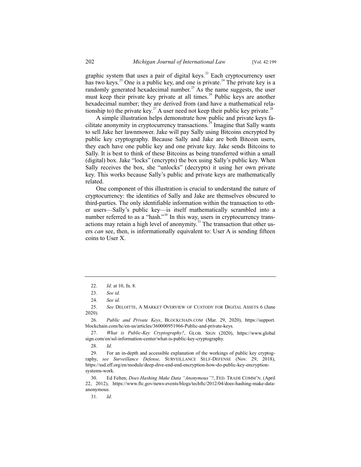graphic system that uses a pair of digital keys.<sup>22</sup> Each cryptocurrency user has two keys.<sup>23</sup> One is a public key, and one is private.<sup>24</sup> The private key is a randomly generated hexadecimal number.<sup>25</sup> As the name suggests, the user must keep their private key private at all times.<sup>26</sup> Public keys are another hexadecimal number; they are derived from (and have a mathematical relationship to) the private key.<sup>27</sup> A user need not keep their public key private.<sup>28</sup>

A simple illustration helps demonstrate how public and private keys facilitate anonymity in cryptocurrency transactions.<sup>29</sup> Imagine that Sally wants to sell Jake her lawnmower. Jake will pay Sally using Bitcoins encrypted by public key cryptography. Because Sally and Jake are both Bitcoin users, they each have one public key and one private key. Jake sends Bitcoins to Sally. It is best to think of these Bitcoins as being transferred within a small (digital) box. Jake "locks" (encrypts) the box using Sally's public key. When Sally receives the box, she "unlocks" (decrypts) it using her own private key. This works because Sally's public and private keys are mathematically related.

One component of this illustration is crucial to understand the nature of cryptocurrency: the identities of Sally and Jake are themselves obscured to third-parties. The only identifiable information within the transaction to other users—Sally's public key—is itself mathematically scrambled into a number referred to as a "hash."<sup>30</sup> In this way, users in cryptocurrency transactions may retain a high level of anonymity.<sup>31</sup> The transaction that other users *can* see, then, is informationally equivalent to: User A is sending fifteen coins to User X.

31. *Id*.

<sup>22.</sup> *Id*. at 10, fn. 8.

<sup>23.</sup> *See id*.

<sup>24.</sup> *See id*.

<sup>25.</sup> *See* DELOITTE,AMARKET OVERVIEW OF CUSTODY FOR DIGITAL ASSETS 6 (June 2020).

<sup>26.</sup> *Public and Private Keys*, BLOCKCHAIN.COM (Mar. 29, 2020), https://support. blockchain.com/hc/en-us/articles/360000951966-Public-and-private-keys.

<sup>27.</sup> *What is Public-Key Cryptography?*, GLOB. SIGN (2020), https://www.global sign.com/en/ssl-information-center/what-is-public-key-cryptography.

<sup>28.</sup> *Id*.

<sup>29.</sup> For an in-depth and accessible explanation of the workings of public key cryptography, *see Surveillance Defense,* SURVEILLANCE SELF-DEFENSE (Nov. 29, 2018), https://ssd.eff.org/en/module/deep-dive-end-end-encryption-how-do-public-key-encryptionsystems-work.

<sup>30.</sup> Ed Felten, *Does Hashing Make Data "Anonymous"?*, FED. TRADE COMM'N. (April 22, 2012), https://www.ftc.gov/news-events/blogs/techftc/2012/04/does-hashing-make-dataanonymous.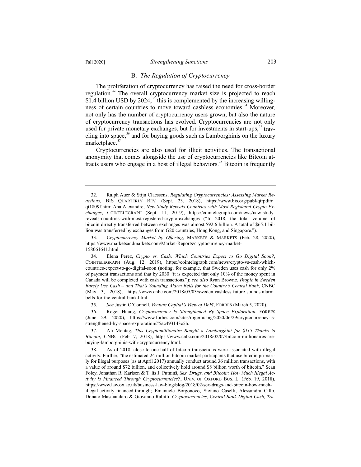#### B. *The Regulation of Cryptocurrency*

The proliferation of cryptocurrency has raised the need for cross-border regulation.<sup>32</sup> The overall cryptocurrency market size is projected to reach \$1.4 billion USD by  $2024$ ;<sup>33</sup> this is complemented by the increasing willingness of certain countries to move toward cashless economies.<sup>34</sup> Moreover, not only has the number of cryptocurrency users grown, but also the nature of cryptocurrency transactions has evolved. Cryptocurrencies are not only used for private monetary exchanges, but for investments in start-ups,<sup>35</sup> traveling into space, $36$  and for buying goods such as Lamborghinis on the luxury marketplace.<sup>3</sup>

Cryptocurrencies are also used for illicit activities. The transactional anonymity that comes alongside the use of cryptocurrencies like Bitcoin attracts users who engage in a host of illegal behaviors.<sup>38</sup> Bitcoin is frequently

33. *Cryptocurrency Market by Offering*, MARKETS & MARKETS (Feb. 28, 2020), https://www.marketsandmarkets.com/Market-Reports/cryptocurrency-market-158061641.html.

35. *See* Justin O'Connell, *Venture Capital's View of DeFi*, FORBES (March 5, 2020).

36. Roger Huang, *Cryptocurrency Is Strengthened By Space Exploration*, FORBES (June 29, 2020), https://www.forbes.com/sites/rogerhuang/2020/06/29/cryptocurrency-isstrengthened-by-space-exploration/#5ac493143c5b.

<sup>32.</sup> Ralph Auer & Stijn Claessens, *Regulating Cryptocurrencies: Assessing Market Reactions*, BIS QUARTERLY REV. (Sept. 23, 2018), https://www.bis.org/publ/qtrpdf/r\_ qt1809f.htm; Ana Alexandre, *New Study Reveals Countries with Most Registered Crypto Exchanges*, COINTELEGRAPH (Sept. 11, 2019), https://cointelegraph.com/news/new-studyreveals-countries-with-most-registered-crypto-exchanges ("In 2018, the total volume of bitcoin directly transferred between exchanges was almost \$92.6 billion. A total of \$65.1 billion was transferred by exchanges from G20 countries, Hong Kong, and Singapore.").

<sup>34.</sup> Elena Perez, *Crypto vs. Cash: Which Countries Expect to Go Digital Soon?*, COINTELEGRAPH (Aug. 12, 2019), https://cointelegraph.com/news/crypto-vs-cash-whichcountries-expect-to-go-digital-soon (noting, for example, that Sweden uses cash for only 2% of payment transactions and that by 2030 "it is expected that only 10% of the money spent in Canada will be completed with cash transactions."); *see also* Ryan Browne, *People in Sweden Barely Use Cash – and That's Sounding Alarm Bells for the Country's Central Bank*, CNBC (May 3, 2018), https://www.cnbc.com/2018/05/03/sweden-cashless-future-sounds-alarmbells-for-the-central-bank.html.

<sup>37.</sup> Ali Montag, *This Cryptomillionaire Bought a Lamborghini for \$115 Thanks to Bitcoin*, CNBC (Feb. 7, 2018), https://www.cnbc.com/2018/02/07/bitcoin-millionaires-arebuying-lamborghinis-with-cryptocurrency.html.

<sup>38.</sup> As of 2018, close to one-half of bitcoin transactions were associated with illegal activity. Further, "the estimated 24 million bitcoin market participants that use bitcoin primarily for illegal purposes (as at April 2017) annually conduct around 36 million transactions, with a value of around \$72 billion, and collectively hold around \$8 billion worth of bitcoin." Sean Foley, Jonathan R. Karlsen & T lis J. Putninš, *Sex, Drugs, and Bitcoin: How Much Illegal Activity is Financed Through Cryptocurrencies?*, UNIV. OF OXFORD BUS. L. (Feb. 19, 2018), https://www.law.ox.ac.uk/business-law-blog/blog/2018/02/sex-drugs-and-bitcoin-how-muchillegal-activity-financed-through; Emanuele Borgonovo, Stefano Caselli, Alessandra Cillo, Donato Masciandaro & Giovanno Rabitti, *Cryptocurrencies, Central Bank Digital Cash, Tra-*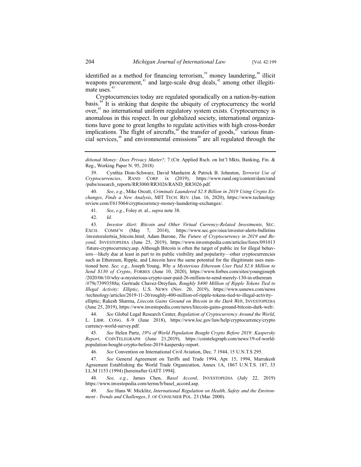identified as a method for financing terrorism,<sup>39</sup> money laundering,<sup>40</sup> illicit weapons procurement,<sup>41</sup> and large-scale drug deals,<sup>42</sup> among other illegitimate uses.<sup>43</sup>

Cryptocurrencies today are regulated sporadically on a nation-by-nation basis.<sup>44</sup> It is striking that despite the ubiquity of cryptocurrency the world over,<sup>45</sup> no international uniform regulatory system exists. Cryptocurrency is anomalous in this respect. In our globalized society, international organizations have gone to great lengths to regulate activities with high cross-border implications. The flight of aircrafts,  $46$  the transfer of goods,  $47$  various financial services, $48$  and environmental emissions $49$  are all regulated through the

- 41. *See*, *e.g.*, Foley et. al., *supra* note 38.
- 42. *Id*.

43. *Investor Alert: Bitcoin and Other Virtual Currency-Related Investments*, SEC. EXCH. COMM'N (May 7, 2014), https://www.sec.gov/oiea/investor-alerts-bulletins /investoralertsia\_bitcoin.html; Adam Barone, *The Future of Cryptocurrency in 2019 and Beyond*, INVESTOPEDIA (June 25, 2019), https://www.investopedia.com/articles/forex/091013 /future-cryptocurrency.asp. Although Bitcoin is often the target of public ire for illegal behaviors—likely due at least in part to its public visibility and popularity—other cryptocurrencies such as Ethereum, Ripple, and Litecoin have the same potential for the illegitimate uses mentioned here. *See, e.g.*, Joseph Young, *Why a Mysterious Ethereum User Paid \$2.6 Million to Send \$130 of Crypto*, FORBES (June 10, 2020), https://www.forbes.com/sites/youngjoseph /2020/06/10/why-a-mysterious-crypto-user-paid-26-million-to-send-merely-130-in-ethereum /#79c73993588a; Gertrude Chavez-Dreyfuss, *Roughly \$400 Million of Ripple Tokens Tied to Illegal Activity: Elliptic*, U.S. NEWS (Nov. 20, 2019), https://www.usnews.com/news /technology/articles/2019-11-20/roughly-400-million-of-ripple-tokens-tied-to-illegal-activityelliptic; Rakesh Sharma, *Litecoin Gains Ground on Bitcoin in the Dark Web*, INVESTOPEDIA (June 25, 2019), https://www.investopedia.com/news/litecoin-gains-ground-bitcoin-dark-web/.

44. *See* Global Legal Research Center, *Regulation of Cryptocurrency Around the World*, L. LIBR. CONG. 8–9 (June 2018), https://www.loc.gov/law/help/cryptocurrency/crypto currency-world-survey.pdf.

45. *See* Helen Partz, *19% of World Population Bought Crypto Before 2019: Kaspersky Report*, COINTELEGRAPH (June 21,2019), https://cointelegraph.com/news/19-of-worldpopulation-bought-crypto-before-2019-kaspersky-report.

46. *See* Convention on International Civil Aviation, Dec. 7 1944, 15 U.N.T.S 295.

47. *See* General Agreement on Tariffs and Trade 1994, Apr. 15, 1994, Marrakesh Agreement Establishing the World Trade Organization, Annex 1A, 1867 U.N.T.S. 187, 33 I.L.M 1153 (1994) [hereinafter GATT 1994].

48. *See, e.g.*, James Chen, *Basel Accord*, INVESTOPEDIA (July 22, 2019) https://www.investopedia.com/terms/b/basel\_accord.asp.

49. *See* Hans W. Micklitz, *International Regulation on Health, Safety and the Environment - Trends and Challenges*, J. OF CONSUMER POL. 23 (Mar. 2000).

*ditional Money: Does Privacy Matter?,* 7 (Ctr. Applied Rsch. on Int'l Mkts, Banking, Fin. & Reg., Working Paper N. 95, 2018)

<sup>39.</sup> Cynthia Dion-Schwarz, David Manheim & Patrick B. Johnston, *Terrorist Use of Cryptocurrencies*, RAND CORP. ix (2019), https://www.rand.org/content/dam/rand /pubs/research\_reports/RR3000/RR3026/RAND\_RR3026.pdf.

<sup>40.</sup> *See*, *e.g.*, Mike Orcutt, *Criminals Laundered \$2.8 Billion in 2019 Using Crypto Exchanges, Finds a New Analysis*, MIT TECH. REV. (Jan. 16, 2020), https://www.technology review.com/f/615064/cryptocurrency-money-laundering-exchanges/.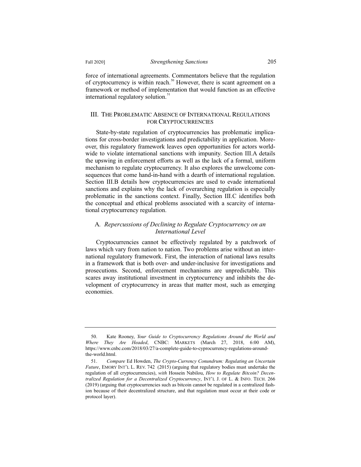force of international agreements. Commentators believe that the regulation of cryptocurrency is within reach.<sup>50</sup> However, there is scant agreement on a framework or method of implementation that would function as an effective international regulatory solution.<sup>51</sup>

## III. THE PROBLEMATIC ABSENCE OF INTERNATIONAL REGULATIONS FOR CRYPTOCURRENCIES

State-by-state regulation of cryptocurrencies has problematic implications for cross-border investigations and predictability in application. Moreover, this regulatory framework leaves open opportunities for actors worldwide to violate international sanctions with impunity. Section III.A details the upswing in enforcement efforts as well as the lack of a formal, uniform mechanism to regulate cryptocurrency. It also explores the unwelcome consequences that come hand-in-hand with a dearth of international regulation. Section III.B details how cryptocurrencies are used to evade international sanctions and explains why the lack of overarching regulation is especially problematic in the sanctions context. Finally, Section III.C identifies both the conceptual and ethical problems associated with a scarcity of international cryptocurrency regulation.

# A*. Repercussions of Declining to Regulate Cryptocurrency on an International Level*

Cryptocurrencies cannot be effectively regulated by a patchwork of laws which vary from nation to nation. Two problems arise without an international regulatory framework. First, the interaction of national laws results in a framework that is both over- and under-inclusive for investigations and prosecutions. Second, enforcement mechanisms are unpredictable. This scares away institutional investment in cryptocurrency and inhibits the development of cryptocurrency in areas that matter most, such as emerging economies.

<sup>50.</sup> Kate Rooney, *Your Guide to Cryptocurrency Regulations Around the World and Where They Are Headed*, CNBC: MARKETS (March 27, 2018, 6:00 AM), https://www.cnbc.com/2018/03/27/a-complete-guide-to-cyprocurrency-regulations-aroundthe-world.html.

<sup>51.</sup> *Compare* Ed Howden, *The Crypto-Currency Conundrum: Regulating an Uncertain Future*, EMORY INT'L L. REV. 742 (2015) (arguing that regulatory bodies must undertake the regulation of all cryptocurrencies), *with* Hossein Nabilou, *How to Regulate Bitcoin? Decentralized Regulation for a Decentralized Cryptocurrency*, INT'L J. OF L. & INFO. TECH. 266 (2019) (arguing that cryptocurrencies such as bitcoin cannot be regulated in a centralized fashion because of their decentralized structure, and that regulation must occur at their code or protocol layer).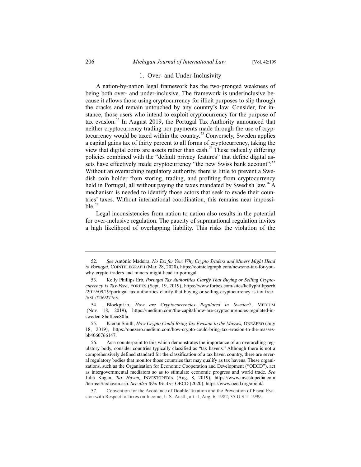#### 1. Over- and Under-Inclusivity

A nation-by-nation legal framework has the two-pronged weakness of being both over- and under-inclusive. The framework is underinclusive because it allows those using cryptocurrency for illicit purposes to slip through the cracks and remain untouched by any country's law. Consider, for instance, those users who intend to exploit cryptocurrency for the purpose of tax evasion.<sup>52</sup> In August 2019, the Portugal Tax Authority announced that neither cryptocurrency trading nor payments made through the use of cryptocurrency would be taxed within the country.<sup>53</sup> Conversely, Sweden applies a capital gains tax of thirty percent to all forms of cryptocurrency, taking the view that digital coins are assets rather than cash.<sup>54</sup> These radically differing policies combined with the "default privacy features" that define digital assets have effectively made cryptocurrency "the new Swiss bank account":<sup>55</sup> Without an overarching regulatory authority, there is little to prevent a Swedish coin holder from storing, trading, and profiting from cryptocurrency held in Portugal, all without paying the taxes mandated by Swedish law.<sup>56</sup> A mechanism is needed to identify those actors that seek to evade their countries' taxes. Without international coordination, this remains near impossible.

Legal inconsistencies from nation to nation also results in the potential for over-inclusive regulation. The paucity of supranational regulation invites a high likelihood of overlapping liability. This risks the violation of the

<sup>52.</sup> *See* António Madeira, *No Tax for You: Why Crypto Traders and Miners Might Head to Portugal*, COINTELEGRAPH (Mar. 28, 2020), https://cointelegraph.com/news/no-tax-for-youwhy-crypto-traders-and-miners-might-head-to-portugal.

<sup>53.</sup> Kelly Phillips Erb, *Portugal Tax Authorities Clarify That Buying or Selling Cryptocurrency is Tax-Free*, FORBES (Sept. 19, 2019), https://www.forbes.com/sites/kellyphillipserb /2019/09/19/portugal-tax-authorities-clarify-that-buying-or-selling-cryptocurrency-is-tax-free /#3fa72b9277e3.

<sup>54.</sup> Blockpit.io, *How are Cryptocurrencies Regulated in Sweden?*, MEDIUM (Nov. 18, 2019), https://medium.com/the-capital/how-are-cryptocurrencies-regulated-insweden-8beffcce80fa.

<sup>55.</sup> Kieran Smith, *How Crypto Could Bring Tax Evasion to the Masses,* ONEZERO (July 18, 2019), https://onezero.medium.com/how-crypto-could-bring-tax-evasion-to-the-massesbb4060766147.

<sup>56.</sup> As a counterpoint to this which demonstrates the importance of an overarching regulatory body, consider countries typically classified as "tax havens." Although there is not a comprehensively defined standard for the classification of a tax haven country, there are several regulatory bodies that monitor those countries that may qualify as tax havens. These organizations, such as the Organisation for Economic Cooperation and Development ("OECD"), act as intergovernmental mediators so as to stimulate economic progress and world trade. *See* Julia Kagan, *Tax Haven,* INVESTOPEDIA (Aug. 8, 2019), https://www.investopedia.com /terms/t/taxhaven.asp. *See also Who We Are,* OECD (2020), https://www.oecd.org/about/.

<sup>57.</sup> Convention for the Avoidance of Double Taxation and the Prevention of Fiscal Evasion with Respect to Taxes on Income, U.S.-Austl., art. 1, Aug. 6, 1982, 35 U.S.T. 1999.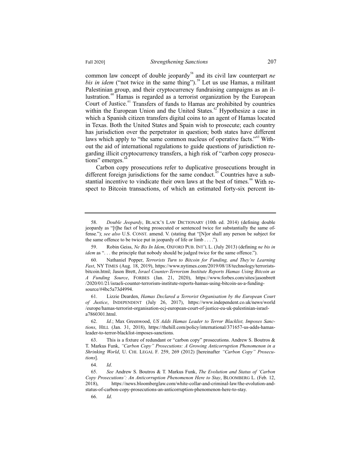common law concept of double jeopardy<sup>58</sup> and its civil law counterpart *ne bis in idem* ("not twice in the same thing").<sup>59</sup> Let us use Hamas, a militant Palestinian group, and their cryptocurrency fundraising campaigns as an illustration.<sup>60</sup> Hamas is regarded as a terrorist organization by the European Court of Justice.<sup>61</sup> Transfers of funds to Hamas are prohibited by countries within the European Union and the United States.<sup>62</sup> Hypothesize a case in which a Spanish citizen transfers digital coins to an agent of Hamas located in Texas. Both the United States and Spain wish to prosecute; each country has jurisdiction over the perpetrator in question; both states have different laws which apply to "the same common nucleus of operative facts."<sup>63</sup> Without the aid of international regulations to guide questions of jurisdiction regarding illicit cryptocurrency transfers, a high risk of "carbon copy prosecutions" emerges.<sup>6</sup>

Carbon copy prosecutions refer to duplicative prosecutions brought in different foreign jurisdictions for the same conduct.<sup> $55$ </sup> Countries have a substantial incentive to vindicate their own laws at the best of times.<sup>66</sup> With respect to Bitcoin transactions, of which an estimated forty-six percent in-

59. Robin Geiss, *Ne Bis In Idem*, OXFORD PUB. INT'L L. (July 2013) (defining *ne bis in idem* as "... the principle that nobody should be judged twice for the same offence.").

61. Lizzie Dearden, *Hamas Declared a Terrorist Organisation by the European Court of Justice*, INDEPENDENT (July 26, 2017), https://www.independent.co.uk/news/world /europe/hamas-terrorist-organisation-ecj-european-court-of-justice-eu-uk-palestinian-israela7860301.html.

<sup>58.</sup> *Double Jeopardy*, BLACK'S LAW DICTIONARY (10th ed. 2014) (defining double jeopardy as "[t]he fact of being prosecuted or sentenced twice for substantially the same offense."); *see also* U.S. CONST. amend. V. (stating that "[N]or shall any person be subject for the same offence to be twice put in jeopardy of life or limb . . . .").

<sup>60.</sup> Nathaniel Popper, *Terrorists Turn to Bitcoin for Funding, and They're Learning Fast*, NY TIMES (Aug. 18, 2019), https://www.nytimes.com/2019/08/18/technology/terroristsbitcoin.html; Jason Brett, *Israel Counter-Terrorism Institute Reports Hamas Using Bitcoin as A Funding Source*, FORBES (Jan. 21, 2020), https://www.forbes.com/sites/jasonbrett /2020/01/21/israeli-counter-terrorism-institute-reports-hamas-using-bitcoin-as-a-fundingsource/#4bc5a73d4994.

<sup>62.</sup> *Id.*; Max Greenwood, *US Adds Hamas Leader to Terror Blacklist, Imposes Sanctions*, HILL (Jan. 31, 2018), https://thehill.com/policy/international/371657-us-adds-hamasleader-to-terror-blacklist-imposes-sanctions.

<sup>63.</sup> This is a fixture of redundant or "carbon copy" prosecutions. Andrew S. Boutros & T. Markus Funk, *"Carbon Copy" Prosecutions: A Growing Anticorruption Phenomenon in a Shrinking World*, U. CHI. LEGAL F. 259, 269 (2012) [hereinafter *"Carbon Copy" Prosecutions*].

<sup>64.</sup> *Id*.

<sup>65.</sup> *See* Andrew S. Boutros & T. Markus Funk, *The Evolution and Status of 'Carbon Copy Prosecutions': An Anticorruption Phenomenon Here to Stay*, BLOOMBERG L. (Feb. 12, 2018), https://news.bloomberglaw.com/white-collar-and-criminal-law/the-evolution-andstatus-of-carbon-copy-prosecutions-an-anticorruption-phenomenon-here-to-stay.

<sup>66.</sup> *Id*.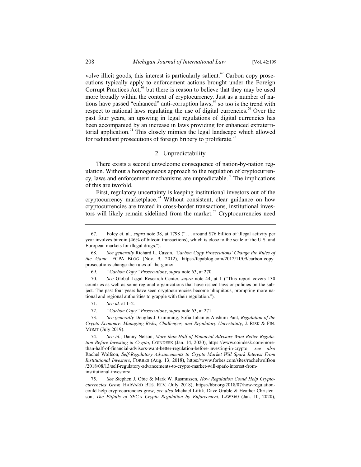volve illicit goods, this interest is particularly salient.<sup> $67$ </sup> Carbon copy prosecutions typically apply to enforcement actions brought under the Foreign Corrupt Practices Act, $^{68}$  but there is reason to believe that they may be used more broadly within the context of cryptocurrency. Just as a number of nations have passed "enhanced" anti-corruption laws,  $\frac{69}{10}$  so too is the trend with respect to national laws regulating the use of digital currencies.<sup>70</sup> Over the past four years, an upswing in legal regulations of digital currencies has been accompanied by an increase in laws providing for enhanced extraterritorial application.<sup>71</sup> This closely mimics the legal landscape which allowed for redundant prosecutions of foreign bribery to proliferate.<sup>72</sup>

## 2. Unpredictability

There exists a second unwelcome consequence of nation-by-nation regulation. Without a homogeneous approach to the regulation of cryptocurrency, laws and enforcement mechanisms are unpredictable.<sup>73</sup> The implications of this are twofold.

First, regulatory uncertainty is keeping institutional investors out of the cryptocurrency marketplace.<sup>74</sup> Without consistent, clear guidance on how cryptocurrencies are treated in cross-border transactions, institutional investors will likely remain sidelined from the market.<sup>75</sup> Cryptocurrencies need

70. *See* Global Legal Research Center, *supra* note 44, at 1 ("This report covers 130 countries as well as some regional organizations that have issued laws or policies on the subject. The past four years have seen cryptocurrencies become ubiquitous, prompting more national and regional authorities to grapple with their regulation.").

75. *See* Stephen J. Obie & Mark W. Rasmussen, *How Regulation Could Help Cryptocurrencies Grow,* HARVARD BUS. REV. (July 2018), https://hbr.org/2018/07/how-regulationcould-help-cryptocurrencies-grow*; see also* Michael Liftik, Dave Grable & Heather Christenson, *The Pitfalls of SEC's Crypto Regulation by Enforcement*, LAW360 (Jan. 10, 2020),

<sup>67.</sup> Foley et. al., *supra* note 38, at 1798 (". . . around \$76 billion of illegal activity per year involves bitcoin (46% of bitcoin transactions), which is close to the scale of the U.S. and European markets for illegal drugs.").

<sup>68.</sup> *See generally* Richard L. Cassin, *'Carbon Copy Prosecutions' Change the Rules of the Game*, FCPA BLOG (Nov. 9, 2012), https://fcpablog.com/2012/11/09/carbon-copyprosecutions-change-the-rules-of-the-game/.

<sup>69.</sup> *"Carbon Copy" Prosecutions*, *supra* note 63, at 270.

<sup>71.</sup> *See id.* at 1–2.

<sup>72.</sup> *"Carbon Copy" Prosecutions*, *supra* note 63, at 271.

<sup>73.</sup> *See generally* Douglas J. Cumming, Sofia Johan & Anshum Pant, *Regulation of the Crypto-Economy: Managing Risks, Challenges, and Regulatory Uncertainty*, J. RISK & FIN. MGMT (July 2019).

<sup>74.</sup> *See id.*; Danny Nelson, *More than Half of Financial Advisors Want Better Regulation Before Investing in Crypto*, COINDESK (Jan. 14, 2020), https://www.coindesk.com/morethan-half-of-financial-advisors-want-better-regulation-before-investing-in-crypto; *see also*  Rachel Wolfson, *Self-Regulatory Advancements to Crypto Market Will Spark Interest From Institutional Investors*, FORBES (Aug. 13, 2018), https://www.forbes.com/sites/rachelwolfson /2018/08/13/self-regulatory-advancements-to-crypto-market-will-spark-interest-frominstitutional-investors/.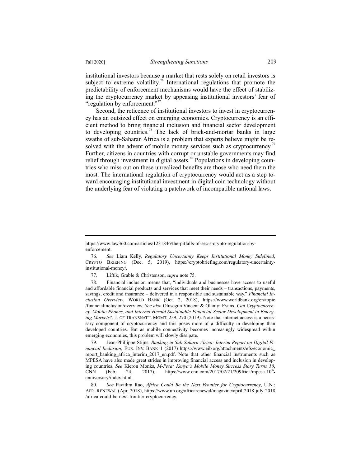institutional investors because a market that rests solely on retail investors is subject to extreme volatility.<sup>76</sup> International regulations that promote the predictability of enforcement mechanisms would have the effect of stabilizing the cryptocurrency market by appeasing institutional investors' fear of "regulation by enforcement."<sup>77</sup>

Second, the reticence of institutional investors to invest in cryptocurrency has an outsized effect on emerging economies. Cryptocurrency is an efficient method to bring financial inclusion and financial sector development to developing countries.<sup>78</sup> The lack of brick-and-mortar banks in large swaths of sub-Saharan Africa is a problem that experts believe might be resolved with the advent of mobile money services such as cryptocurrency.<sup>79</sup> Further, citizens in countries with corrupt or unstable governments may find relief through investment in digital assets. $80$  Populations in developing countries who miss out on these unrealized benefits are those who need them the most. The international regulation of cryptocurrency would act as a step toward encouraging institutional investment in digital coin technology without the underlying fear of violating a patchwork of incompatible national laws.

77. Liftik, Grable & Christenson, *supra* note 75.

78. Financial inclusion means that, "individuals and businesses have access to useful and affordable financial products and services that meet their needs – transactions, payments, savings, credit and insurance – delivered in a responsible and sustainable way." *Financial Inclusion Overview*, WORLD BANK (Oct. 2, 2018), https://www.worldbank.org/en/topic /financialinclusion/overview. *See also* Olusegun Vincent & Olaniyi Evans, *Can Cryptocurrency, Mobile Phones, and Internet Herald Sustainable Financial Sector Development in Emerging Markets?*, J. OF TRANSNAT'L MGMT. 259, 270 (2019). Note that internet access is a necessary component of cryptocurrency and this poses more of a difficulty in developing than developed countries. But as mobile connectivity becomes increasingly widespread within emerging economies, this problem will slowly dissipate.

79. Jean-Phillippe Stijns, *Banking in Sub-Saharn Africa: Interim Report on Digital Financial Inclusion*, EUR. INV. BANK 1 (2017) https://www.eib.org/attachments/efs/economic\_ report\_banking\_africa\_interim\_2017\_en.pdf. Note that other financial instruments such as MPESA have also made great strides in improving financial access and inclusion in developing countries. *See* Kieron Monks, *M-Pesa: Kenya's Mobile Money Success Story Turns 10*, CNN (Feb. 24, 2017), https://www.cnn.com/2017/02/21/209frica/mpesa-10<sup>th</sup>anniversary/index.html.

80. *See* Pavithra Rao, *Africa Could Be the Next Frontier for Cryptocurrency*, U.N.: AFR. RENEWAL (Apr. 2018), https://www.un.org/africarenewal/magazine/april-2018-july-2018 /africa-could-be-next-frontier-cryptocurrency.

https://www.law360.com/articles/1231846/the-pitfalls-of-sec-s-crypto-regulation-byenforcement.

<sup>76.</sup> *See* Liam Kelly, *Regulatory Uncertainty Keeps Institutional Money Sidelined*, CRYPTO BRIEFING (Dec. 5, 2019), https://cryptobriefing.com/regulatory-uncertaintyinstitutional-money/.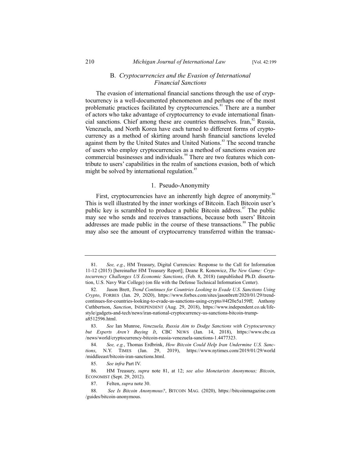#### B. *Cryptocurrencies and the Evasion of International Financial Sanctions*

The evasion of international financial sanctions through the use of cryptocurrency is a well-documented phenomenon and perhaps one of the most problematic practices facilitated by cryptocurrencies.<sup>81</sup> There are a number of actors who take advantage of cryptocurrency to evade international financial sanctions. Chief among these are countries themselves. Iran, $82$  Russia, Venezuela, and North Korea have each turned to different forms of cryptocurrency as a method of skirting around harsh financial sanctions leveled against them by the United States and United Nations.<sup>83</sup> The second tranche of users who employ cryptocurrencies as a method of sanctions evasion are commercial businesses and individuals.<sup>84</sup> There are two features which contribute to users' capabilities in the realm of sanctions evasion, both of which might be solved by international regulation. $\frac{8}{5}$ 

#### 1. Pseudo-Anonymity

First, cryptocurrencies have an inherently high degree of anonymity.<sup>86</sup> This is well illustrated by the inner workings of Bitcoin. Each Bitcoin user's public key is scrambled to produce a public Bitcoin address. $\frac{87}{3}$  The public may see who sends and receives transactions, because both users' Bitcoin addresses are made public in the course of these transactions.<sup>88</sup> The public may also see the amount of cryptocurrency transferred within the transac-

85. *See infra* Part IV.

86. HM Treasury, *supra* note 81, at 12; *see also Monetarists Anonymous; Bitcoin*, ECONOMIST (Sept. 29, 2012).

87. Felten, *supra* note 30.

<sup>81.</sup> *See, e.g.*, HM Treasury, Digital Currencies: Response to the Call for Information 11-12 (2015) [hereinafter HM Treasury Report]; Deane R. Konowicz, *The New Game: Cryptocurrency Challenges US Economic Sanctions*, (Feb. 8, 2018) (unpublished Ph.D. dissertation, U.S. Navy War College) (on file with the Defense Technical Information Center).

<sup>82.</sup> Jason Brett, *Trend Continues for Countries Looking to Evade U.S. Sanctions Using Crypto*, FORBES (Jan. 29, 2020), https://www.forbes.com/sites/jasonbrett/2020/01/29/trendcontinues-for-countries-looking-to-evade-us-sanctions-using-crypto/#4f20e5a159ff; Anthony Cuthbertson, *Sanction*, INDEPENDENT (Aug. 29, 2018), https://www.independent.co.uk/lifestyle/gadgets-and-tech/news/iran-national-cryptocurrency-us-sanctions-bitcoin-trumpa8512596.html.

<sup>83.</sup> *See* Ian Munroe, *Venezuela, Russia Aim to Dodge Sanctions with Cryptocurrency but Experts Aren't Buying It*, CBC NEWS (Jan. 14, 2018), https://www.cbc.ca /news/world/cryptocurrency-bitcoin-russia-venezuela-sanctions-1.4477323.

<sup>84.</sup> *See, e.g.*, Thomas Erdbrink, *How Bitcoin Could Help Iran Undermine U.S. Sanctions*, N.Y. TIMES (Jan. 29, 2019), https://www.nytimes.com/2019/01/29/world /middleeast/bitcoin-iran-sanctions.html.

<sup>88.</sup> *See Is Bitcoin Anonymous?*, BITCOIN MAG. (2020), https://bitcoinmagazine.com /guides/bitcoin-anonymous.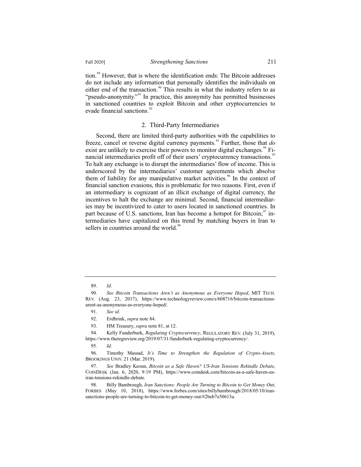tion.<sup>89</sup> However, that is where the identification ends: The Bitcoin addresses do not include any information that personally identifies the individuals on either end of the transaction.<sup>90</sup> This results in what the industry refers to as "pseudo-anonymity."<sup>91</sup> In practice, this anonymity has permitted businesses in sanctioned countries to exploit Bitcoin and other cryptocurrencies to evade financial sanctions.<sup>92</sup>

#### 2. Third-Party Intermediaries

Second, there are limited third-party authorities with the capabilities to freeze, cancel or reverse digital currency payments.<sup>93</sup> Further, those that *do* exist are unlikely to exercise their powers to monitor digital exchanges.<sup>94</sup> Financial intermediaries profit off of their users' cryptocurrency transactions.<sup>95</sup> To halt any exchange is to disrupt the intermediaries' flow of income. This is underscored by the intermediaries' customer agreements which absolve them of liability for any manipulative market activities.<sup>96</sup> In the context of financial sanction evasions, this is problematic for two reasons. First, even if an intermediary is cognizant of an illicit exchange of digital currency, the incentives to halt the exchange are minimal. Second, financial intermediaries may be incentivized to cater to users located in sanctioned countries. In part because of U.S. sanctions, Iran has become a hotspot for Bitcoin;  $\frac{97}{1}$  intermediaries have capitalized on this trend by matching buyers in Iran to sellers in countries around the world.<sup>98</sup>

<sup>89.</sup> *Id.*

<sup>90.</sup> *See Bitcoin Transactions Aren't as Anonymous as Everyone Hoped*, MIT TECH. REV. (Aug. 23, 2017), https://www.technologyreview.com/s/608716/bitcoin-transactionsarent-as-anonymous-as-everyone-hoped/.

<sup>91.</sup> *See id*.

<sup>92.</sup> Erdbrink, *supra* note 84.

<sup>93.</sup> HM Treasury, *supra* note 81, at 12.

<sup>94.</sup> Kelly Funderburk, *Regulating Cryptocurrency*, REGULATORY REV. (July 31, 2019), https://www.theregreview.org/2019/07/31/funderburk-regulating-cryptocurrency/.

<sup>95.</sup> *Id*.

<sup>96.</sup> Timothy Massad, *It's Time to Strengthen the Regulation of Crypto-Assets*, BROOKINGS UNIV. 21 (Mar. 2019).

<sup>97.</sup> *See* Bradley Keoun, *Bitcoin as a Safe Haven? US-Iran Tensions Rekindle Debate*, COINDESK (Jan. 6, 2020, 9:19 PM), https://www.coindesk.com/bitcoin-as-a-safe-haven-usiran-tensions-rekindle-debate.

<sup>98.</sup> Billy Bambrough, *Iran Sanctions: People Are Turning to Bitcoin to Get Money Out*, FORBES (May 10, 2018), https://www.forbes.com/sites/billybambrough/2018/05/10/iransanctions-people-are-turning-to-bitcoin-to-get-money-out/#2beb7e50613a.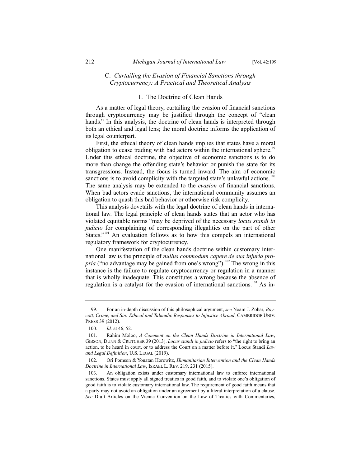# C. *Curtailing the Evasion of Financial Sanctions through Cryptocurrency: A Practical and Theoretical Analysis*

# 1. The Doctrine of Clean Hands

As a matter of legal theory, curtailing the evasion of financial sanctions through cryptocurrency may be justified through the concept of "clean hands." In this analysis, the doctrine of clean hands is interpreted through both an ethical and legal lens; the moral doctrine informs the application of its legal counterpart.

First, the ethical theory of clean hands implies that states have a moral obligation to cease trading with bad actors within the international sphere.<sup>99</sup> Under this ethical doctrine, the objective of economic sanctions is to do more than change the offending state's behavior or punish the state for its transgressions. Instead, the focus is turned inward. The aim of economic sanctions is to avoid complicity with the targeted state's unlawful actions.<sup>100</sup> The same analysis may be extended to the *evasion* of financial sanctions. When bad actors evade sanctions, the international community assumes an obligation to quash this bad behavior or otherwise risk complicity.

This analysis dovetails with the legal doctrine of clean hands in international law. The legal principle of clean hands states that an actor who has violated equitable norms "may be deprived of the necessary *locus standi in judicio* for complaining of corresponding illegalities on the part of other States."<sup>101</sup> An evaluation follows as to how this compels an international regulatory framework for cryptocurrency.

One manifestation of the clean hands doctrine within customary international law is the principle of *nullus commodum capere de sua injuria propria* ("no advantage may be gained from one's wrong").<sup>102</sup> The wrong in this instance is the failure to regulate cryptocurrency or regulation in a manner that is wholly inadequate. This constitutes a wrong because the absence of regulation is a catalyst for the evasion of international sanctions.<sup>103</sup> As in-

<sup>99.</sup> For an in-depth discussion of this philosophical argument, *see* Noam J. Zohar, *Boycott, Crime, and Sin: Ethical and Talmudic Responses to Injustice Abroad*, CAMBRIDGE UNIV. PRESS 39 (2012).

<sup>100.</sup> *Id.* at 46, 52.

<sup>101.</sup> Rahim Moloo, *A Comment on the Clean Hands Doctrine in International Law*, GIBSON, DUNN & CRUTCHER 39 (2013). *Locus standi in judicio* refers to "the right to bring an action, to be heard in court, or to address the Court on a matter before it." Locus Standi *Law and Legal Definition*, U.S. LEGAL (2019).

<sup>102.</sup> Ori Pomson & Yonatan Horowitz, *Humanitarian Intervention and the Clean Hands Doctrine in International Law*, ISRAEL L. REV. 219, 231 (2015).

<sup>103.</sup> An obligation exists under customary international law to enforce international sanctions. States must apply all signed treaties in good faith, and to violate one's obligation of good faith is to violate customary international law. The requirement of good faith means that a party may not avoid an obligation under an agreement by a literal interpretation of a clause. *See* Draft Articles on the Vienna Convention on the Law of Treaties with Commentaries,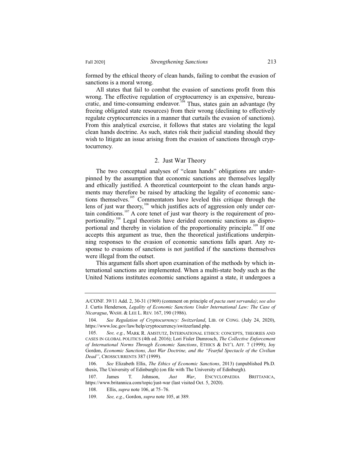formed by the ethical theory of clean hands, failing to combat the evasion of sanctions is a moral wrong.

All states that fail to combat the evasion of sanctions profit from this wrong. The effective regulation of cryptocurrency is an expensive, bureaucratic, and time-consuming endeavor.<sup>104</sup> Thus, states gain an advantage (by freeing obligated state resources) from their wrong (declining to effectively regulate cryptocurrencies in a manner that curtails the evasion of sanctions). From this analytical exercise, it follows that states are violating the legal clean hands doctrine. As such, states risk their judicial standing should they wish to litigate an issue arising from the evasion of sanctions through cryptocurrency.

#### 2. Just War Theory

The two conceptual analyses of "clean hands" obligations are underpinned by the assumption that economic sanctions are themselves legally and ethically justified. A theoretical counterpoint to the clean hands arguments may therefore be raised by attacking the legality of economic sanctions themselves.<sup>105</sup> Commentators have leveled this critique through the lens of just war theory,<sup>106</sup> which justifies acts of aggression only under certain conditions.<sup>107</sup> A core tenet of just war theory is the requirement of proportionality.<sup>108</sup> Legal theorists have derided economic sanctions as disproportional and thereby in violation of the proportionality principle.<sup>109</sup> If one accepts this argument as true, then the theoretical justifications underpinning responses to the evasion of economic sanctions falls apart. Any response to evasions of sanctions is not justified if the sanctions themselves were illegal from the outset.

This argument falls short upon examination of the methods by which international sanctions are implemented. When a multi-state body such as the United Nations institutes economic sanctions against a state, it undergoes a

A/CONF. 39/11 Add. 2, 30-31 (1969) (comment on principle of *pacta sunt servanda)*; *see also*  J. Curtis Henderson, *Legality of Economic Sanctions Under International Law: The Case of Nicaragua*, WASH.&LEE L. REV. 167, 190 (1986).

<sup>104.</sup> *See Regulation of Cryptocurrency: Switzerland*, LIB. OF CONG. (July 24, 2020), https://www.loc.gov/law/help/cryptocurrency/switzerland.php.

<sup>105.</sup> *See, e.g.*, MARK R. AMSTUTZ, INTERNATIONAL ETHICS: CONCEPTS, THEORIES AND CASES IN GLOBAL POLITICS (4th ed. 2016); Lori Fisler Damrosch, *The Collective Enforcement of International Norms Through Economic Sanctions*, ETHICS & INT'L AFF. 7 (1999); Joy Gordon, *Economic Sanctions, Just War Doctrine, and the "Fearful Spectacle of the Civilian Dead"*, CROSSCURRENTS 387 (1999).

<sup>106.</sup> *See* Elizabeth Ellis, *The Ethics of Economic Sanctions*, 2013) (unpublished Ph.D. thesis, The University of Edinburgh) (on file with The University of Edinburgh).

<sup>107.</sup> James T. Johnson, *Just War*, ENCYCLOPAEDIA BRITTANICA, https://www.britannica.com/topic/just-war (last visited Oct. 5, 2020).

<sup>108.</sup> Ellis, *supra* note 106, at 75–76.

<sup>109.</sup> *See, e.g.*, Gordon, *supra* note 105, at 389.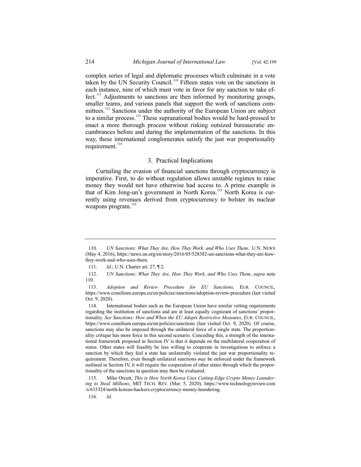complex series of legal and diplomatic processes which culminate in a vote taken by the UN Security Council.<sup>110</sup> Fifteen states vote on the sanctions in each instance, nine of which must vote in favor for any sanction to take effect.<sup>111</sup> Adjustments to sanctions are then informed by monitoring groups, smaller teams, and various panels that support the work of sanctions committees.<sup>112</sup> Sanctions under the authority of the European Union are subject to a similar process.<sup>113</sup> These supranational bodies would be hard-pressed to enact a more thorough process without risking outsized bureaucratic encumbrances before and during the implementation of the sanctions. In this way, these international conglomerates satisfy the just war proportionality requirement.<sup>114</sup>

#### 3. Practical Implications

Curtailing the evasion of financial sanctions through cryptocurrency is imperative. First, to do without regulation allows unstable regimes to raise money they would not have otherwise had access to. A prime example is that of Kim Jong-un's government in North Korea.<sup>115</sup> North Korea is currently using revenues derived from cryptocurrency to bolster its nuclear weapons program.<sup>11</sup>

<sup>110.</sup> *UN Sanctions: What They Are, How They Work, and Who Uses Them*, U.N. NEWS (May 4, 2016), https://news.un.org/en/story/2016/05/528382-un-sanctions-what-they-are-howthey-work-and-who-uses-them.

<sup>111.</sup> *Id.*; U.N. Charter art. 27, ¶ 2.

<sup>112.</sup> *UN Sanctions: What They Are, How They Work, and Who Uses Them*, *supra* note 110.

<sup>113.</sup> *Adoption and Review Procedure for EU Sanctions*, EUR. COUNCIL, https://www.consilium.europa.eu/en/policies/sanctions/adoption-review-procedure (last visited Oct. 9, 2020).

<sup>114.</sup> International bodies such as the European Union have similar vetting requirements regarding the institution of sanctions and are at least equally cognizant of sanctions' proportionality. *See Sanctions: How and When the EU Adopts Restrictive Measures*, EUR. COUNCIL, https://www.consilium.europa.eu/en/policies/sanctions (last visited Oct. 9, 2020). Of course, sanctions may also be imposed through the unilateral force of a single state. The proportionality critique has more force in this second scenario. Conceding this, a strength of the international framework proposed in Section IV is that it depends on the multilateral cooperation of states. Other states will feasibly be less willing to cooperate in investigations to enforce a sanction by which they feel a state has unilaterally violated the just war proportionality requirement. Therefore, even though unilateral sanctions *may* be enforced under the framework outlined in Section IV, it will require the cooperation of other states through which the proportionality of the sanctions in question may then be evaluated.

<sup>115.</sup> Mike Orcutt, *This is How North Korea Uses Cutting-Edge Crypto Money Laundering to Steal Millions*, MIT TECH. REV. (Mar. 5, 2020), https://www.technologyreview.com /s/615324/north-korean-hackers-cryptocurrency-money-laundering.

<sup>116.</sup> *Id.*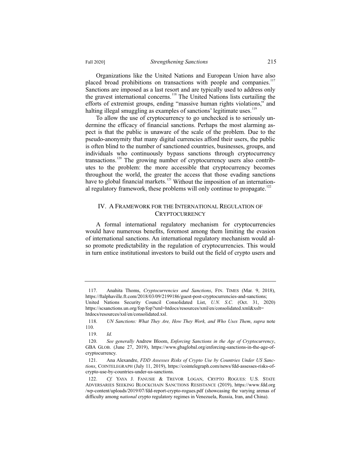Organizations like the United Nations and European Union have also placed broad prohibitions on transactions with people and companies.<sup>117</sup> Sanctions are imposed as a last resort and are typically used to address only the gravest international concerns.<sup>118</sup> The United Nations lists curtailing the efforts of extremist groups, ending "massive human rights violations," and halting illegal smuggling as examples of sanctions' legitimate uses.<sup>119</sup>

To allow the use of cryptocurrency to go unchecked is to seriously undermine the efficacy of financial sanctions. Perhaps the most alarming aspect is that the public is unaware of the scale of the problem. Due to the pseudo-anonymity that many digital currencies afford their users, the public is often blind to the number of sanctioned countries, businesses, groups, and individuals who continuously bypass sanctions through cryptocurrency transactions.<sup>120</sup> The growing number of cryptocurrency users also contributes to the problem: the more accessible that cryptocurrency becomes throughout the world, the greater the access that those evading sanctions have to global financial markets.<sup>121</sup> Without the imposition of an international regulatory framework, these problems will only continue to propagate.<sup>122</sup>

#### IV. A FRAMEWORK FOR THE INTERNATIONAL REGULATION OF **CRYPTOCURRENCY**

A formal international regulatory mechanism for cryptocurrencies would have numerous benefits, foremost among them limiting the evasion of international sanctions. An international regulatory mechanism would also promote predictability in the regulation of cryptocurrencies. This would in turn entice institutional investors to build out the field of crypto users and

<sup>117.</sup> Anahita Thoms, *Cryptocurrencies and Sanctions*, FIN. TIMES (Mar. 9, 2018), https://ftalphaville.ft.com/2018/03/09/2199186/guest-post-cryptocurrencies-and-sanctions; United Nations Security Council Consolidated List, *U.N. S.C.* (Oct. 31, 2020) https://scsanctions.un.org/fop/fop?xml=htdocs/resources/xml/en/consolidated.xml&xslt=

htdocs/resources/xsl/en/consolidated.xsl.

<sup>118.</sup> *UN Sanctions: What They Are, How They Work, and Who Uses Them*, *supra* note 110.

<sup>119.</sup> *Id.*

<sup>120.</sup> *See generally* Andrew Bloom, *Enforcing Sanctions in the Age of Cryptocurrency*, GBA GLOB. (June 27, 2019), https://www.gbaglobal.org/enforcing-sanctions-in-the-age-ofcryptocurrency.

<sup>121.</sup> Ana Alexandre, *FDD Assesses Risks of Crypto Use by Countries Under US Sanctions*, COINTELEGRAPH (July 11, 2019), https://cointelegraph.com/news/fdd-assesses-risks-ofcrypto-use-by-countries-under-us-sanctions.

<sup>122.</sup> *Cf.* YAYA J. FANUSIE & TREVOR LOGAN, CRYPTO ROGUES: U.S. STATE ADVERSARIES SEEKING BLOCKCHAIN SANCTIONS RESISTANCE (2019), https://www.fdd.org /wp-content/uploads/2019/07/fdd-report-crypto-rogues.pdf (showcasing the varying arenas of difficulty among *national* crypto regulatory regimes in Venezuela, Russia, Iran, and China).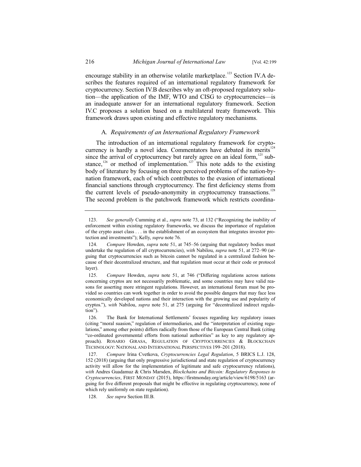encourage stability in an otherwise volatile marketplace.<sup>123</sup> Section IV.A describes the features required of an international regulatory framework for cryptocurrency. Section IV.B describes why an oft-proposed regulatory solution—the application of the IMF, WTO and CISG to cryptocurrencies—is an inadequate answer for an international regulatory framework. Section IV.C proposes a solution based on a multilateral treaty framework. This framework draws upon existing and effective regulatory mechanisms.

## A*. Requirements of an International Regulatory Framework*

The introduction of an international regulatory framework for cryptocurrency is hardly a novel idea. Commentators have debated its merits $12$ since the arrival of cryptocurrency but rarely agree on an ideal form, $125$  substance,<sup>126</sup> or method of implementation.<sup>127</sup> This note adds to the existing body of literature by focusing on three perceived problems of the nation-bynation framework, each of which contributes to the evasion of international financial sanctions through cryptocurrency. The first deficiency stems from the current levels of pseudo-anonymity in cryptocurrency transactions.<sup>12</sup> The second problem is the patchwork framework which restricts coordina-

<sup>123.</sup> *See generally* Cumming et al., *supra* note 73, at 132 ("Recognizing the inability of enforcement within existing regulatory frameworks, we discuss the importance of regulation of the crypto asset class . . . in the establishment of an ecosystem that integrates investor protection and investments"); Kelly, *supra* note 76.

<sup>124.</sup> *Compare* Howden, *supra* note 51, at 745–56 (arguing that regulatory bodies must undertake the regulation of all cryptocurrencies), *with* Nabilou, *supra* note 51, at 272–90 (arguing that cryptocurrencies such as bitcoin cannot be regulated in a centralized fashion because of their decentralized structure, and that regulation must occur at their code or protocol layer).

<sup>125.</sup> *Compare* Howden, *supra* note 51, at 746 ("Differing regulations across nations concerning cryptos are not necessarily problematic, and some countries may have valid reasons for asserting more stringent regulations. However, an international forum must be provided so countries can work together in order to avoid the possible dangers that may face less economically developed nations and their interaction with the growing use and popularity of cryptos."), *with* Nabilou, *supra* note 51, at 275 (arguing for "decentralized indirect regulation").

<sup>126.</sup> The Bank for International Settlements' focuses regarding key regulatory issues (citing "moral suasion," regulation of intermediaries, and the "interpretation of existing regulations," among other points) differs radically from those of the European Central Bank (citing "co-ordinated governmental efforts from national authorities" as key to any regulatory approach). ROSARIO GIRASA, REGULATION OF CRYPTOCURRENCIES & BLOCKCHAIN TECHNOLOGY: NATIONAL AND INTERNATIONAL PERSPECTIVES 199–201 (2018).

<sup>127.</sup> *Compare* Irina Cvetkova, *Cryptocurrencies Legal Regulation*, 5 BRICS L.J. 128, 152 (2018) (arguing that only progressive jurisdictional and state regulation of cryptocurrency activity will allow for the implementation of legitimate and safe cryptocurrency relations), *with* Andres Guadamuz & Chris Marsden, *Blockchains and Bitcoin: Regulatory Responses to Cryptocurrencies*, FIRST MONDAY (2015), https://firstmonday.org/article/view/6198/5163 (arguing for five different proposals that might be effective in regulating cryptocurrency, none of which rely uniformly on state regulation).

<sup>128.</sup> *See supra* Section III.B.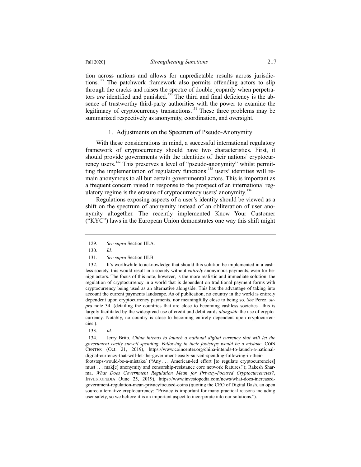tion across nations and allows for unpredictable results across jurisdictions.<sup>129</sup> The patchwork framework also permits offending actors to slip through the cracks and raises the spectre of double jeopardy when perpetrators *are* identified and punished.<sup>130</sup> The third and final deficiency is the absence of trustworthy third-party authorities with the power to examine the legitimacy of cryptocurrency transactions.<sup>131</sup> These three problems may be summarized respectively as anonymity, coordination, and oversight.

#### 1. Adjustments on the Spectrum of Pseudo-Anonymity

With these considerations in mind, a successful international regulatory framework of cryptocurrency should have two characteristics. First, it should provide governments with the identities of their nations' cryptocurrency users.<sup>132</sup> This preserves a level of "pseudo-anonymity" whilst permitting the implementation of regulatory functions:<sup>133</sup> users' identities will remain anonymous to all but certain governmental actors. This is important as a frequent concern raised in response to the prospect of an international regulatory regime is the erasure of cryptocurrency users' anonymity.<sup>13</sup>

Regulations exposing aspects of a user's identity should be viewed as a shift on the spectrum of anonymity instead of an obliteration of user anonymity altogether. The recently implemented Know Your Customer ("KYC") laws in the European Union demonstrates one way this shift might

<sup>129.</sup> *See supra* Section III.A.

<sup>130.</sup> *Id.*

<sup>131.</sup> *See supra* Section III.B.

<sup>132.</sup> It's worthwhile to acknowledge that should this solution be implemented in a cashless society, this would result in a society without *entirely* anonymous payments, even for benign actors. The focus of this note, however, is the more realistic and immediate solution: the regulation of cryptocurrency in a world that is dependent on traditional payment forms with cryptocurrency being used as an alternative alongside. This has the advantage of taking into account the current payments landscape. As of publication, no country in the world is entirely dependent upon cryptocurrency payments, nor meaningfully close to being so. *See* Perez, *supra* note 34. (detailing the countries that are close to becoming cashless societies—this is largely facilitated by the widespread use of credit and debit cards *alongside* the use of cryptocurrency. Notably, no country is close to becoming entirely dependent upon cryptocurrencies.).

<sup>133.</sup> *Id.*

<sup>134.</sup> Jerry Brito, *China intends to launch a national digital currency that will let the government easily surveil spending. Following in their footsteps would be a mistake*, COIN CENTER (Oct. 21, 2019), https://www.coincenter.org/china-intends-to-launch-a-nationaldigital-currency-that-will-let-the-government-easily-surveil-spending-following-in-theirfootsteps-would-be-a-mistake/ ("Any . . . American-led effort [to regulate cryptocurrencies] must . . . mak[e] anonymity and censorship-resistance core network features."); Rakesh Sharma, *What Does Government Regulation Mean for Privacy-Focused Cryptocurrencies?*, INVESTOPEDIA (June 25, 2019), https://www.investopedia.com/news/what-does-increasedgovernment-regulation-mean-privacyfocused-coins (quoting the CEO of Digital Dash, an open source alternative cryptocurrency: "Privacy is important for many practical reasons including user safety, so we believe it is an important aspect to incorporate into our solutions.").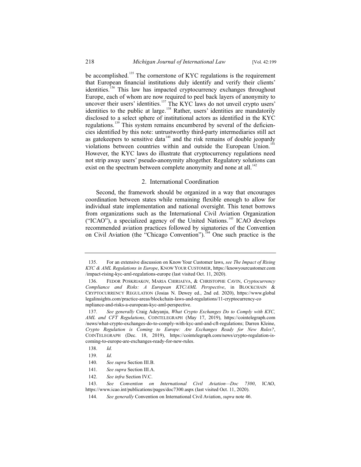be accomplished.<sup>135</sup> The cornerstone of KYC regulations is the requirement that European financial institutions duly identify and verify their clients' identities.<sup>136</sup> This law has impacted cryptocurrency exchanges throughout Europe, each of whom are now required to peel back layers of anonymity to Europe, each of whom are now required to peer back hayers of anonymity to uncover their users' identities.<sup>137</sup> The KYC laws do not unveil crypto users' identities to the public at large.<sup>138</sup> Rather, users' identities are mandatorily disclosed to a select sphere of institutional actors as identified in the KYC regulations.<sup>139</sup> This system remains encumbered by several of the deficiencies identified by this note: untrustworthy third-party intermediaries still act as gatekeepers to sensitive data<sup> $140$ </sup> and the risk remains of double jeopardy violations between countries within and outside the European Union.<sup>141</sup> However, the KYC laws do illustrate that cryptocurrency regulations need not strip away users' pseudo-anonymity altogether. Regulatory solutions can exist on the spectrum between complete anonymity and none at all.<sup>142</sup>

#### 2. International Coordination

Second, the framework should be organized in a way that encourages coordination between states while remaining flexible enough to allow for individual state implementation and national oversight. This tenet borrows from organizations such as the International Civil Aviation Organization ("ICAO"), a specialized agency of the United Nations.<sup>143</sup> ICAO develops recommended aviation practices followed by signatories of the Convention on Civil Aviation (the "Chicago Convention").<sup>144</sup> One such practice is the

<sup>135.</sup> For an extensive discussion on Know Your Customer laws, *see The Impact of Rising KYC & AML Regulations in Europe*, KNOW YOUR CUSTOMER, https://knowyourcustomer.com /impact-rising-kyc-aml-regulations-europe (last visited Oct. 11, 2020).

<sup>136.</sup> FEDOR POSKRIAKOV, MARIA CHIRIAEVA,&CHRISTOPHE CAVIN, *Cryptocurrency Compliance and Risks: A European KYC/AML Perspective*, in BLOCKCHAIN & CRYPTOCURRENCY REGULATION (Josias N. Dewey ed., 2nd ed. 2020), https://www.global legalinsights.com/practice-areas/blockchain-laws-and-regulations/11-cryptocurrency-co mpliance-and-risks-a-european-kyc-aml-perspective.

<sup>137.</sup> *See generally* Craig Adeyanju, *What Crypto Exchanges Do to Comply with KYC, AML and CFT Regulations*, COINTELEGRAPH (May 17, 2019), https://cointelegraph.com /news/what-crypto-exchanges-do-to-comply-with-kyc-aml-and-cft-regulations; Darren Kleine, *Crypto Regulation is Coming to Europe: Are Exchanges Ready for New Rules?*, COINTELEGRAPH (Dec. 18, 2019), https://cointelegraph.com/news/crypto-regulation-iscoming-to-europe-are-exchanges-ready-for-new-rules.

<sup>138.</sup> *Id.*

<sup>139.</sup> *Id.*

<sup>140.</sup> *See supra* Section III.B.

<sup>141.</sup> *See supra* Section III.A.

<sup>142.</sup> *See infra* Section IV.C.

<sup>143.</sup> *See Convention on International Civil Aviation—Doc 7300*, ICAO, https://www.icao.int/publications/pages/doc7300.aspx (last visited Oct. 11, 2020).

<sup>144.</sup> *See generally* Convention on International Civil Aviation, *supra* note 46.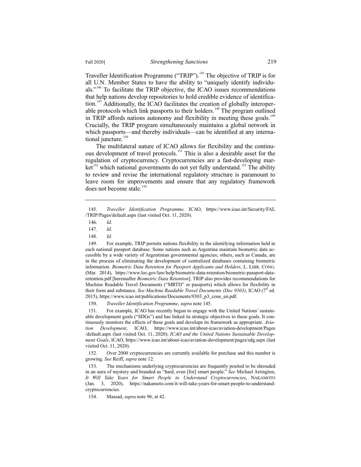Traveller Identification Programme ("TRIP").<sup>145</sup> The objective of TRIP is for all U.N. Member States to have the ability to "uniquely identify individuals."<sup>146</sup> To facilitate the TRIP objective, the ICAO issues recommendations that help nations develop repositories to hold credible evidence of identification.<sup>147</sup> Additionally, the ICAO facilitates the creation of globally interoperable protocols which link passports to their holders.<sup>148</sup> The program outlined in TRIP affords nations autonomy and flexibility in meeting these goals.<sup>149</sup> Crucially, the TRIP program simultaneously maintains a global network in which passports—and thereby individuals—can be identified at any international juncture.<sup>150</sup>

The multilateral nature of ICAO allows for flexibility and the continuous development of travel protocols.<sup>151</sup> This is also a desirable asset for the regulation of cryptocurrency. Cryptocurrencies are a fast-developing market<sup>152</sup> which national governments do not yet fully understand.<sup>153</sup> The ability to review and revise the international regulatory structure is paramount to leave room for improvements and ensure that any regulatory framework does not become stale.<sup>154</sup>

151. For example, ICAO has recently begun to engage with the United Nations' sustainable development goals ("SDGs") and has linked its strategic objectives to these goals. It continuously monitors the effects of these goals and develops its framework as appropriate. *Aviation Development*, ICAO, https://www.icao.int/about-icao/aviation-development/Pages /default.aspx (last visited Oct. 11, 2020); *ICAO and the United Nations Sustainable Development Goals*, ICAO, https://www.icao.int/about-icao/aviation-development/pages/sdg.aspx (last visited Oct. 11, 2020).

152. Over 2000 cryptocurrencies are currently available for purchase and this number is growing. *See* Reiff, *supra* note 12.

153. The mechanisms underlying cryptocurrencies are frequently posited to be shrouded in an aura of mystery and branded as "hard, even [for] smart people." *See* Michael Arrington, *It Will Take Years for Smart People to Understand Cryptocurrencies*, NAKAMOTO (Jan. 3, 2020), https://nakamoto.com/it-will-take-years-for-smart-people-to-understandcryptocurrencies.

154. Massad, *supra* note 96, at 42.

<sup>145.</sup> *Traveller Identification Programme,* ICAO, https://www.icao.int/Security/FAL /TRIP/Pages/default.aspx (last visited Oct. 11, 2020).

<sup>146.</sup> *Id.*

<sup>147.</sup> *Id.*

<sup>148.</sup> *Id.*

<sup>149.</sup> For example, TRIP permits nations flexibility in the identifying information held in each national passport database. Some nations such as Argentina maintain biometric data accessible by a wide variety of Argentinian governmental agencies; others, such as Canada, are in the process of eliminating the development of centralized databases containing biometric information. *Biometric Data Retention for Passport Applicants and Holders*, L. LIBR. CONG. (Mar. 2014), https://www.loc.gov/law/help/biometric-data-retention/biometric-passport-dataretention.pdf [hereinafter *Biometric Data Retention*]. TRIP also provides recommendations for Machine Readable Travel Documents ("MRTD" or passports) which allows for flexibility in their form and substance. *See Machine Readable Travel Documents (Doc 9303)*, ICAO (7<sup>th</sup> ed. 2015), https://www.icao.int/publications/Documents/9303\_p3\_cons\_en.pdf.

<sup>150.</sup> *Traveller Identification Programme*, *supra* note 145.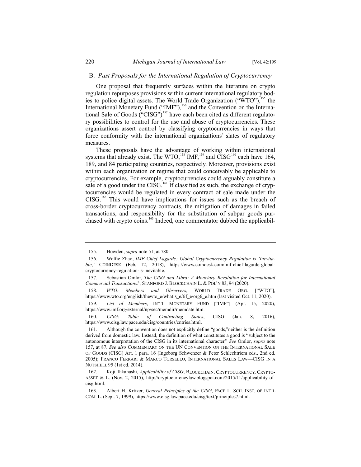#### B. *Past Proposals for the International Regulation of Cryptocurrency*

One proposal that frequently surfaces within the literature on crypto regulation repurposes provisions within current international regulatory bodies to police digital assets. The World Trade Organization ("WTO"),<sup>155</sup> the International Monetary Fund ("IMF"),<sup>156</sup> and the Convention on the International Sale of Goods ("CISG")<sup>157</sup> have each been cited as different regulatory possibilities to control for the use and abuse of cryptocurrencies. These organizations assert control by classifying cryptocurrencies in ways that force conformity with the international organizations' slates of regulatory measures.

These proposals have the advantage of working within international systems that already exist. The WTO,<sup>158</sup> IMF,<sup>159</sup> and CISG<sup>160</sup> each have 164, 189, and 84 participating countries, respectively. Moreover, provisions exist within each organization or regime that could conceivably be applicable to cryptocurrencies. For example, cryptocurrencies could arguably constitute a sale of a good under the CISG.<sup>161</sup> If classified as such, the exchange of cryptocurrencies would be regulated in every contract of sale made under the  $CISG$ .<sup>162</sup> This would have implications for issues such as the breach of cross-border cryptocurrency contracts, the mitigation of damages in failed transactions, and responsibility for the substitution of subpar goods purchased with crypto coins.<sup>163</sup> Indeed, one commentator dubbed the applicabil-

159. *List of Members*, INT'L MONETARY FUND ["IMF"] (Apr. 15, 2020), https://www.imf.org/external/np/sec/memdir/memdate.htm.

160. *CISG: Table of Contracting States*, CISG (Jan. 8, 2016), https://www.cisg.law.pace.edu/cisg/countries/cntries.html.

<sup>155.</sup> Howden, *supra* note 51, at 780.

<sup>156.</sup> Wolfie Zhao, *IMF Chief Lagarde: Global Cryptocurrency Regulation is 'Inevitable*,*'* COINDESK (Feb. 12, 2018), https://www.coindesk.com/imf-chief-lagarde-globalcryptocurrency-regulation-is-inevitable.

<sup>157.</sup> Sebastian Omlor, *The CISG and Libra: A Monetary Revolution for International Commercial Transactions?*, STANFORD J. BLOCKCHAIN L. & POL'Y 83, 94 (2020).

<sup>158.</sup> *WTO: Members and Observers,* WORLD TRADE ORG. ["WTO"], https://www.wto.org/english/thewto\_e/whatis\_e/tif\_e/org6\_e.htm (last visited Oct. 11, 2020).

<sup>161.</sup> Although the convention does not explicitly define "goods,"neither is the definition derived from domestic law. Instead, the definition of what constitutes a good is "subject to the autonomous interpretation of the CISG in its international character." *See* Omlor, *supra* note 157, at 87. *See also* COMMENTARY ON THE UN CONVENTION ON THE INTERNATIONAL SALE OF GOODS (CISG) Art. 1 para. 16 (Ingeborg Schwenzer & Peter Schlechtriem eds., 2nd ed. 2005); FRANCO FERRARI & MARCO TORSELLO, INTERNATIONAL SALES LAW—CISG IN A NUTSHELL 95 (1st ed. 2014).

<sup>162.</sup> Koji Takahashi, *Applicability of CISG*, BLOCKCHAIN, CRYPTOCURRENCY, CRYPTO-ASSET & L. (Nov. 2, 2015), http://cryptocurrencylaw.blogspot.com/2015/11/applicability-ofcisg.html.

<sup>163.</sup> Albert H. Krtizer, *General Principles of the CISG*, PACE L. SCH. INST. OF INT'L COM. L. (Sept. 7, 1999), https://www.cisg.law.pace.edu/cisg/text/principles7.html.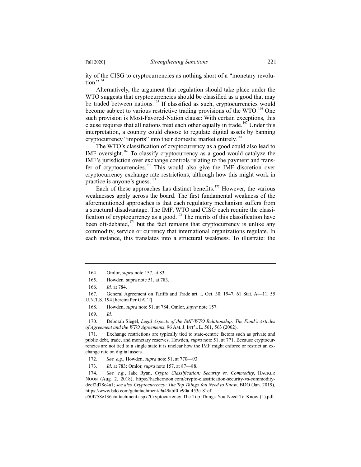ity of the CISG to cryptocurrencies as nothing short of a "monetary revolu $tion$ <sup>"164</sup>

Alternatively, the argument that regulation should take place under the WTO suggests that cryptocurrencies should be classified as a good that may be traded between nations.<sup>165</sup> If classified as such, cryptocurrencies would become subject to various restrictive trading provisions of the WTO.<sup>166</sup> One such provision is Most-Favored-Nation clause: With certain exceptions, this clause requires that all nations treat each other equally in trade.<sup>167</sup> Under this interpretation, a country could choose to regulate digital assets by banning cryptocurrency "imports" into their domestic market entirely.<sup>168</sup>

The WTO's classification of cryptocurrency as a good could also lead to IMF oversight.<sup>169</sup> To classify cryptocurrency as a good would catalyze the IMF's jurisdiction over exchange controls relating to the payment and transfer of cryptocurrencies. $170$  This would also give the IMF discretion over cryptocurrency exchange rate restrictions, although how this might work in practice is anyone's guess. $171$ 

Each of these approaches has distinct benefits.<sup>172</sup> However, the various weaknesses apply across the board. The first fundamental weakness of the aforementioned approaches is that each regulatory mechanism suffers from a structural disadvantage. The IMF, WTO and CISG each require the classification of cryptocurrency as a good.<sup>173</sup> The merits of this classification have been oft-debated, $174$  but the fact remains that cryptocurrency is unlike any commodity, service or currency that international organizations regulate. In each instance, this translates into a structural weakness. To illustrate: the

170. Deborah Siegel, *Legal Aspects of the IMF/WTO Relationship: The Fund's Articles of Agreement and the WTO Agreements*, 96 AM. J. INT'L L. 561, 563 (2002).

171. Exchange restrictions are typically tied to state-centric factors such as private and public debt, trade, and monetary reserves. Howden, *supra* note 51, at 771. Because cryptocurrencies are not tied to a single state it is unclear how the IMF might enforce or restrict an exchange rate on digital assets.

174*. See, e.g.*, Jake Ryan, *Crypto Classification: Security vs. Commodity*, HACKER NOON (Aug. 2, 2018), https://hackernoon.com/crypto-classification-security-vs-commoditydecf2d78c4a1; *see also Cryptocurrency: The Top Things You Need to Know*, BDO (Jan. 2019), https://www.bdo.com/getattachment/9a49abf0-c90a-453c-81ef-

e50f758e136a/attachment.aspx?Cryptocurrency-The-Top-Things-You-Need-To-Know-(1).pdf.

<sup>164.</sup> Omlor, *supra* note 157, at 83.

<sup>165.</sup> Howden*,* supra note 51, at 783.

<sup>166.</sup> *Id.* at 784.

<sup>167.</sup> General Agreement on Tariffs and Trade art. I, Oct. 30, 1947, 61 Stat. A—11, 55 U.N.T.S. 194 [hereinafter GATT].

<sup>168.</sup> Howden, *supra* note 51, at 784; Omlor, *supra* note 157.

<sup>169.</sup> *Id.*

<sup>172.</sup> *See, e.g.*, Howden, *supra* note 51, at 770—93.

<sup>173.</sup> *Id*. at 783; Omlor, *supra* note 157, at 87—88.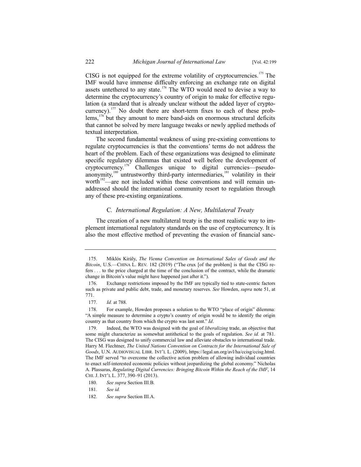CISG is not equipped for the extreme volatility of cryptocurrencies.<sup>175</sup> The IMF would have immense difficulty enforcing an exchange rate on digital assets untethered to any state.<sup>176</sup> The WTO would need to devise a way to determine the cryptocurrency's country of origin to make for effective regulation (a standard that is already unclear without the added layer of cryptocurrency).<sup>177</sup> No doubt there are short-term fixes to each of these problems, $178^\circ$  but they amount to mere band-aids on enormous structural deficits that cannot be solved by mere language tweaks or newly applied methods of textual interpretation.

The second fundamental weakness of using pre-existing conventions to regulate cryptocurrencies is that the conventions' terms do not address the heart of the problem. Each of these organizations was designed to eliminate specific regulatory dilemmas that existed well before the development of cryptocurrency.<sup>179</sup> Challenges unique to digital currencies—pseudoanonymity,<sup>180</sup> untrustworthy third-party intermediaries,<sup>181</sup> volatility in their worth<sup>182</sup>—are not included within these conventions and will remain unaddressed should the international community resort to regulation through any of these pre-existing organizations.

# C*. International Regulation: A New, Multilateral Treaty*

The creation of a new multilateral treaty is the most realistic way to implement international regulatory standards on the use of cryptocurrency. It is also the most effective method of preventing the evasion of financial sanc-

<sup>175.</sup> Miklós Király, *The Vienna Convention on International Sales of Goods and the Bitcoin*, U.S.—CHINA L. REV. 182 (2019) ("The crux [of the problem] is that the CISG refers . . . to the price charged at the time of the conclusion of the contract, while the dramatic change in Bitcoin's value might have happened just after it.").

<sup>176.</sup> Exchange restrictions imposed by the IMF are typically tied to state-centric factors such as private and public debt, trade, and monetary reserves. *See* Howden, *supra* note 51, at 771.

<sup>177.</sup> *Id.* at 788.

<sup>178.</sup> For example, Howden proposes a solution to the WTO "place of origin" dilemma: "A simple measure to determine a crypto's country of origin would be to identify the origin country as that country from which the crypto was last sent." *Id*.

<sup>179.</sup> Indeed, the WTO was designed with the goal of *liberalizing* trade, an objective that some might characterize as somewhat antithetical to the goals of regulation. *See id.* at 781. The CISG was designed to unify commercial law and alleviate obstacles to international trade. Harry M. Flechtner, *The United Nations Convention on Contracts for the International Sale of Goods*, U.N. AUDIOVISUAL LIBR. INT'L L. (2009), https://legal.un.org/avl/ha/ccisg/ccisg.html. The IMF served "to overcome the collective action problem of allowing individual countries to enact self-interested economic policies without jeopardizing the global economy." Nicholas A. Plassaras, *Regulating Digital Currencies: Bringing Bitcoin Within the Reach of the IMF*, 14 CHI. J. INT'L L. 377, 390–91 (2013).

<sup>180.</sup> *See supra* Section III.B.

<sup>181.</sup> *See id.*

<sup>182.</sup> *See supra* Section III.A.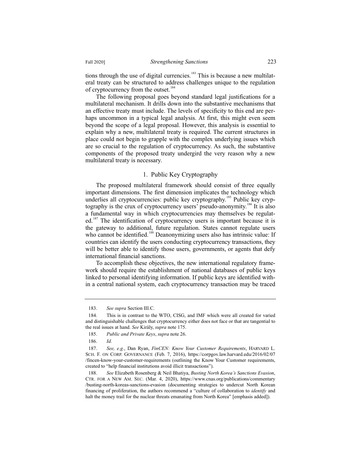tions through the use of digital currencies.<sup>183</sup> This is because a new multilateral treaty can be structured to address challenges unique to the regulation of cryptocurrency from the outset.<sup>184</sup>

The following proposal goes beyond standard legal justifications for a multilateral mechanism. It drills down into the substantive mechanisms that an effective treaty must include. The levels of specificity to this end are perhaps uncommon in a typical legal analysis. At first, this might even seem beyond the scope of a legal proposal. However, this analysis is essential to explain why a new, multilateral treaty is required. The current structures in place could not begin to grapple with the complex underlying issues which are so crucial to the regulation of cryptocurrency. As such, the substantive components of the proposed treaty undergird the very reason why a new multilateral treaty is necessary.

# 1. Public Key Cryptography

The proposed multilateral framework should consist of three equally important dimensions. The first dimension implicates the technology which underlies all cryptocurrencies: public key cryptography.<sup>185</sup> Public key cryptography is the crux of cryptocurrency users' pseudo-anonymity.<sup>186</sup> It is also a fundamental way in which cryptocurrencies may themselves be regulated.<sup>187</sup> The identification of cryptocurrency users is important because it is the gateway to additional, future regulation. States cannot regulate users who cannot be identified.<sup>188</sup> Deanonymizing users also has intrinsic value: If countries can identify the users conducting cryptocurrency transactions, they will be better able to identify those users, governments, or agents that defy international financial sanctions.

To accomplish these objectives, the new international regulatory framework should require the establishment of national databases of public keys linked to personal identifying information. If public keys are identified within a central national system, each cryptocurrency transaction may be traced

<sup>183.</sup> *See supra* Section III.C.

<sup>184.</sup> This is in contrast to the WTO, CISG, and IMF which were all created for varied and distinguishable challenges that cryptocurrency either does not face or that are tangential to the real issues at hand. *See* Király, *supra* note 175.

<sup>185.</sup> *Public and Private Keys*, *supra* note 26.

<sup>186.</sup> *Id.*

<sup>187.</sup> *See, e.g.*, Dan Ryan, *FinCEN: Know Your Customer Requirements*, HARVARD L. SCH. F. ON CORP. GOVERNANCE (Feb. 7, 2016), https://corpgov.law.harvard.edu/2016/02/07 /fincen-know-your-customer-requirements (outlining the Know Your Customer requirements, created to "help financial institutions avoid illicit transactions").

<sup>188.</sup> *See* Elizabeth Rosenberg & Neil Bhatiya, *Busting North Korea's Sanctions Evasion*, CTR. FOR A NEW AM. SEC. (Mar. 4, 2020), https://www.cnas.org/publications/commentary /busting-north-koreas-sanctions-evasion (documenting strategies to undercut North Korean financing of proliferation, the authors recommend a "culture of collaboration to *identify* and halt the money trail for the nuclear threats emanating from North Korea" [emphasis added]).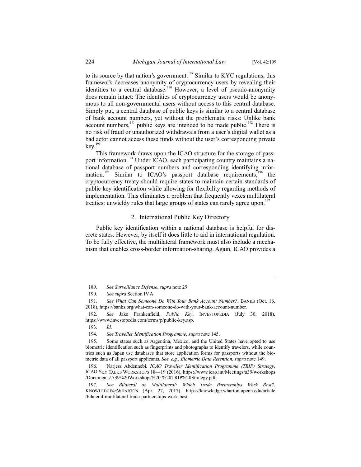to its source by that nation's government.<sup>189</sup> Similar to KYC regulations, this framework decreases anonymity of cryptocurrency users by revealing their identities to a central database.<sup>190</sup> However, a level of pseudo-anonymity does remain intact: The identities of cryptocurrency users would be anonymous to all non-governmental users without access to this central database. Simply put, a central database of public keys is similar to a central database of bank account numbers, yet without the problematic risks: Unlike bank account numbers, $191$  public keys are intended to be made public.<sup>192</sup> There is no risk of fraud or unauthorized withdrawals from a user's digital wallet as a bad actor cannot access these funds without the user's corresponding private  $kev.<sup>193</sup>$ 

This framework draws upon the ICAO structure for the storage of passport information.<sup>194</sup> Under ICAO, each participating country maintains a national database of passport numbers and corresponding identifying information.<sup>195</sup> Similar to ICAO's passport database requirements,<sup>196</sup> the cryptocurrency treaty should require states to maintain certain standards of public key identification while allowing for flexibility regarding methods of implementation. This eliminates a problem that frequently vexes multilateral treaties: unwieldy rules that large groups of states can rarely agree upon.<sup>197</sup>

#### 2. International Public Key Directory

Public key identification within a national database is helpful for discrete states. However, by itself it does little to aid in international regulation. To be fully effective, the multilateral framework must also include a mechanism that enables cross-border information-sharing. Again, ICAO provides a

<sup>189.</sup> *See Surveillance Defense*, *supra* note 29.

<sup>190.</sup> *See supra* Section IV.A.

<sup>191.</sup> *See What Can Someone Do With Your Bank Account Number?*, BANKS (Oct. 16, 2018), https://banks.org/what-can-someone-do-with-your-bank-account-number.

<sup>192.</sup> *See* Jake Frankenfield, *Public Key*, INVESTOPEDIA (July 30, 2018), https://www.investopedia.com/terms/p/public-key.asp.

<sup>193.</sup> *Id.*

<sup>194.</sup> *See Traveller Identification Programme*, *supra* note 145.

<sup>195.</sup> Some states such as Argentina, Mexico, and the United States have opted to use biometric identification such as fingerprints and photographs to identify travelers, while countries such as Japan use databases that store application forms for passports without the biometric data of all passport applicants. *See, e.g.*, *Biometric Data Retention*, *supra* note 149.

<sup>196.</sup> Narjess Abdennebi*, ICAO Traveller Identification Programme (TRIP) Strategy*, ICAO SKY TALKS WORKSHOPS 18—19 (2016), https://www.icao.int/Meetings/a39/workshops /Documents/A39%20Workshops%20-%20TRIP%20Strategy.pdf.

<sup>197.</sup> *See Bilateral or Multilateral: Which Trade Partnerships Work Best?*, KNOWLEDGE@WHARTON (Apr. 27, 2017), https://knowledge.wharton.upenn.edu/article /bilateral-multilateral-trade-partnerships-work-best.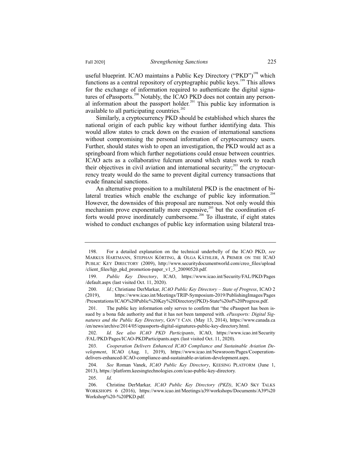useful blueprint. ICAO maintains a Public Key Directory ("PKD")<sup>198</sup> which functions as a central repository of cryptographic public keys.<sup>199</sup> This allows for the exchange of information required to authenticate the digital signatures of ePassports.<sup>200</sup> Notably, the ICAO PKD does not contain any personal information about the passport holder.<sup>201</sup> This public key information is available to all participating countries.<sup>202</sup>

Similarly, a cryptocurrency PKD should be established which shares the national origin of each public key without further identifying data. This would allow states to crack down on the evasion of international sanctions without compromising the personal information of cryptocurrency users. Further, should states wish to open an investigation, the PKD would act as a springboard from which further negotiations could ensue between countries. ICAO acts as a collaborative fulcrum around which states work to reach their objectives in civil aviation and international security;<sup>203</sup> the cryptocurrency treaty would do the same to prevent digital currency transactions that evade financial sanctions.

An alternative proposition to a multilateral PKD is the enactment of bilateral treaties which enable the exchange of public key information.<sup>204</sup> However, the downsides of this proposal are numerous. Not only would this mechanism prove exponentially more expensive, $205$  but the coordination efforts would prove inordinately cumbersome.<sup>206</sup> To illustrate, if eight states wished to conduct exchanges of public key information using bilateral trea-

<sup>198.</sup> For a detailed explanation on the technical underbelly of the ICAO PKD, *see* MARKUS HARTMANN, STEPHAN KÖRTING, & OLGA KÄTHLER, A PRIMER ON THE ICAO PUBLIC KEY DIRECTORY (2009), http://www.securitydocumentworld.com/creo\_files/upload /client\_files/hjp\_pkd\_promotion-paper\_v1\_5\_20090520.pdf.

<sup>199.</sup> *Public Key Directory*, ICAO, https://www.icao.int/Security/FAL/PKD/Pages /default.aspx (last visited Oct. 11, 2020).

<sup>200.</sup> *Id.*; Christiane DerMarkar, *ICAO Public Key Directory – State of Progress*, ICAO 2 (2019), https://www.icao.int/Meetings/TRIP-Symposium-2019/PublishingImages/Pages /Presentations/ICAO%20Public%20Key%20Directory(PKD)-State%20of%20Progress.pdf.

<sup>201.</sup> The public key information only serves to confirm that "the ePassport has been issued by a bona fide authority and that it has not been tampered with. *ePassports: Digital Signatures and the Public Key Directory*, GOV'T CAN. (May 13, 2014), https://www.canada.ca /en/news/archive/2014/05/epassports-digital-signatures-public-key-directory.html.

<sup>202.</sup> *Id. See also ICAO PKD Participants*, ICAO, https://www.icao.int/Security /FAL/PKD/Pages/ICAO-PKDParticipants.aspx (last visited Oct. 11, 2020).

<sup>203.</sup> *Cooperation Delivers Enhanced ICAO Compliance and Sustainable Aviation Development*, ICAO (Aug. 1, 2019), https://www.icao.int/Newsroom/Pages/Cooperationdelivers-enhanced-ICAO-compliance-and-sustainable-aviation-development.aspx.

<sup>204.</sup> *See* Roman Vanek, *ICAO Public Key Directory*, KEESING PLATFORM (June 1, 2013), https://platform.keesingtechnologies.com/icao-public-key-directory.

<sup>205.</sup> *Id.*

<sup>206.</sup> Christine DerMarkar*, ICAO Public Key Directory (PKD)*, ICAO SKY TALKS WORKSHOPS 6 (2016), https://www.icao.int/Meetings/a39/workshops/Documents/A39%20 Workshop%20-%20PKD.pdf.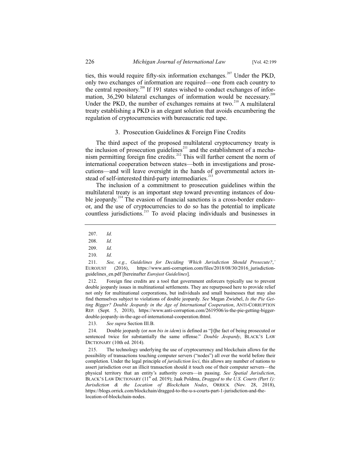ties, this would require fifty-six information exchanges.<sup>207</sup> Under the PKD, only two exchanges of information are required—one from each country to the central repository.<sup>208</sup> If 191 states wished to conduct exchanges of information,  $36,290$  bilateral exchanges of information would be necessary.<sup>209</sup> Under the PKD, the number of exchanges remains at two. $^{210}$  A multilateral treaty establishing a PKD is an elegant solution that avoids encumbering the regulation of cryptocurrencies with bureaucratic red tape.

# 3. Prosecution Guidelines & Foreign Fine Credits

The third aspect of the proposed multilateral cryptocurrency treaty is the inclusion of prosecution guidelines<sup>211</sup> and the establishment of a mechanism permitting foreign fine credits.<sup>212</sup> This will further cement the norm of international cooperation between states—both in investigations and prosecutions—and will leave oversight in the hands of governmental actors instead of self-interested third-party intermediaries.<sup>2</sup>

The inclusion of a commitment to prosecution guidelines within the multilateral treaty is an important step toward preventing instances of double jeopardy.<sup>214</sup> The evasion of financial sanctions is a cross-border endeavor, and the use of cryptocurrencies to do so has the potential to implicate countless jurisdictions.<sup>215</sup> To avoid placing individuals and businesses in

212. Foreign fine credits are a tool that government enforcers typically use to prevent double jeopardy issues in multinational settlements. They are repurposed here to provide relief not only for multinational corporations, but individuals and small businesses that may also find themselves subject to violations of double jeopardy. *See* Megan Zwiebel, *Is the Pie Getting Bigger? Double Jeopardy in the Age of International Cooperation*, ANTI-CORRUPTION REP. (Sept. 5, 2018), https://www.anti-corruption.com/2619506/is-the-pie-getting-biggerdouble-jeopardy-in-the-age-of-international-cooperation.thtml.

213. *See supra* Section III.B.

214. Double jeopardy (or *non bis in idem*) is defined as "[t]he fact of being prosecuted or sentenced twice for substantially the same offense." *Double Jeopardy*, BLACK'S LAW DICTIONARY (10th ed. 2014).

215. The technology underlying the use of cryptocurrency and blockchain allows for the possibility of transactions touching computer servers ("nodes") all over the world before their completion. Under the legal principle of *jurisdiction loci*, this allows any number of nations to assert jurisdiction over an illicit transaction should it touch one of their computer servers—the physical territory that an entity's authority covers—in passing. *See Spatial Jurisdiction*, BLACK'S LAW DICTIONARY (11<sup>th</sup> ed. 2019); Jaak Poldma, *Dragged to the U.S. Courts (Part 1)*: *Jurisdiction & the Location of Blockchain Nodes*, ORRICK (Nov. 28, 2018), https://blogs.orrick.com/blockchain/dragged-to-the-u-s-courts-part-1-jurisdiction-and-thelocation-of-blockchain-nodes.

<sup>207.</sup> *Id.*

<sup>208.</sup> *Id.*

<sup>209.</sup> *Id.*

<sup>210.</sup> *Id.*

<sup>211.</sup> *See, e.g.*, *Guidelines for Deciding 'Which Jurisdiction Should Prosecute?*,*'* EUROJUST (2016), https://www.anti-corruption.com/files/2018/08/30/2016\_jurisdictionguidelines\_en.pdf [hereinafter *Eurojust Guidelines*].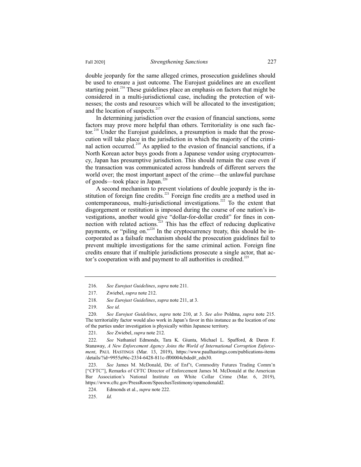double jeopardy for the same alleged crimes, prosecution guidelines should be used to ensure a just outcome. The Eurojust guidelines are an excellent starting point.<sup>216</sup> These guidelines place an emphasis on factors that might be considered in a multi-jurisdictional case, including the protection of witnesses; the costs and resources which will be allocated to the investigation; and the location of suspects. $217$ 

In determining jurisdiction over the evasion of financial sanctions, some factors may prove more helpful than others. Territoriality is one such factor.<sup>218</sup> Under the Eurojust guidelines, a presumption is made that the prosecution will take place in the jurisdiction in which the majority of the criminal action occurred.<sup>219</sup> As applied to the evasion of financial sanctions, if a North Korean actor buys goods from a Japanese vendor using cryptocurrency, Japan has presumptive jurisdiction. This should remain the case even if the transaction was communicated across hundreds of different servers the world over; the most important aspect of the crime—the unlawful purchase of goods—took place in Japan.<sup>220</sup>

A second mechanism to prevent violations of double jeopardy is the institution of foreign fine credits.<sup>221</sup> Foreign fine credits are a method used in contemporaneous, multi-jurisdictional investigations.<sup>222</sup> To the extent that disgorgement or restitution is imposed during the course of one nation's investigations, another would give "dollar-for-dollar credit" for fines in connection with related actions.<sup>223</sup> This has the effect of reducing duplicative payments, or "piling on."<sup>224</sup> In the cryptocurrency treaty, this should be incorporated as a failsafe mechanism should the prosecution guidelines fail to prevent multiple investigations for the same criminal action. Foreign fine credits ensure that if multiple jurisdictions prosecute a single actor, that actor's cooperation with and payment to all authorities is credited.<sup>225</sup>

<sup>216.</sup> *See Eurojust Guidelines*, *supra* note 211.

<sup>217.</sup> Zwiebel, *supra* note 212.

<sup>218.</sup> *See Eurojust Guidelines*, *supra* note 211, at 3.

<sup>219.</sup> *See id.*

<sup>220.</sup> *See Eurojust Guidelines*, *supra* note 210, at 3. *See also* Poldma, *supra* note 215. The territoriality factor would also work in Japan's favor in this instance as the location of one of the parties under investigation is physically within Japanese territory.

<sup>221.</sup> *See* Zwiebel, *supra* note 212.

<sup>222.</sup> *See* Nathaniel Edmonds, Tara K. Giunta, Michael L. Spafford, & Daren F. Stanaway, *A New Enforcement Agency Joins the World of International Corruption Enforcement*, PAUL HASTINGS (Mar. 13, 2019), https://www.paulhastings.com/publications-items /details/?id=9955a96c-2334-6428-811c-ff00004cbded#\_edn30.

<sup>223.</sup> *See* James M. McDonald, Dir. of Enf't, Commodity Futures Trading Comm'n ["CFTC"], Remarks of CFTC Director of Enforcement James M. McDonald at the American Bar Association's National Institute on White Collar Crime (Mar. 6, 2019), https://www.cftc.gov/PressRoom/SpeechesTestimony/opamcdonald2.

<sup>224.</sup> Edmonds et al., *supra* note 222.

<sup>225.</sup> *Id.*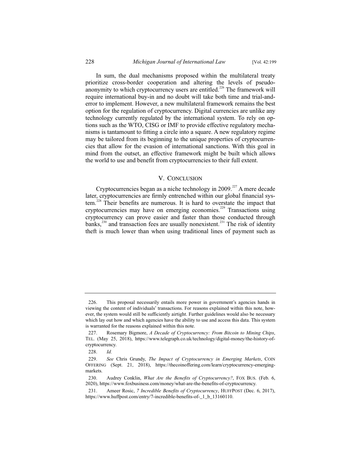In sum, the dual mechanisms proposed within the multilateral treaty prioritize cross-border cooperation and altering the levels of pseudoanonymity to which cryptocurrency users are entitled.<sup>226</sup> The framework will require international buy-in and no doubt will take both time and trial-anderror to implement. However, a new multilateral framework remains the best option for the regulation of cryptocurrency. Digital currencies are unlike any technology currently regulated by the international system. To rely on options such as the WTO, CISG or IMF to provide effective regulatory mechanisms is tantamount to fitting a circle into a square. A new regulatory regime may be tailored from its beginning to the unique properties of cryptocurrencies that allow for the evasion of international sanctions. With this goal in mind from the outset, an effective framework might be built which allows the world to use and benefit from cryptocurrencies to their full extent.

# V. CONCLUSION

Cryptocurrencies began as a niche technology in  $2009$ .<sup>227</sup> A mere decade later, cryptocurrencies are firmly entrenched within our global financial system.<sup>228</sup> Their benefits are numerous. It is hard to overstate the impact that cryptocurrencies may have on emerging economies.<sup>229</sup> Transactions using cryptocurrency can prove easier and faster than those conducted through banks, $^{230}$  and transaction fees are usually nonexistent.<sup>231</sup> The risk of identity theft is much lower than when using traditional lines of payment such as

<sup>226.</sup> This proposal necessarily entails more power in government's agencies hands in viewing the content of individuals' transactions. For reasons explained within this note, however, the system would still be sufficiently airtight. Further guidelines would also be necessary which lay out how and which agencies have the ability to use and access this data. This system is warranted for the reasons explained within this note.

<sup>227.</sup> Rosemary Bigmore, *A Decade of Cryptocurrency: From Bitcoin to Mining Chips*, TEL. (May 25, 2018), https://www.telegraph.co.uk/technology/digital-money/the-history-ofcryptocurrency.

<sup>228.</sup> *Id.*

<sup>229.</sup> *See* Chris Grundy, *The Impact of Cryptocurrency in Emerging Markets*, COIN OFFERING (Sept. 21, 2018), https://thecoinoffering.com/learn/cryptocurrency-emergingmarkets.

<sup>230.</sup> Audrey Conklin, *What Are the Benefits of Cryptocurrency?*, FOX BUS. (Feb. 6, 2020), https://www.foxbusiness.com/money/what-are-the-benefits-of-cryptocurrency.

<sup>231.</sup> Ameer Rosic, *7 Incredible Benefits of Cryptocurrency*, HUFFPOST (Dec. 6, 2017), https://www.huffpost.com/entry/7-incredible-benefits-of-1 b\_13160110.